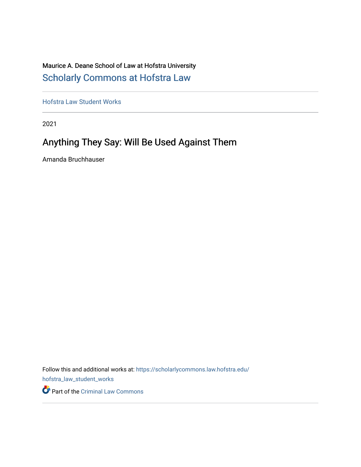## Maurice A. Deane School of Law at Hofstra University [Scholarly Commons at Hofstra Law](https://scholarlycommons.law.hofstra.edu/)

[Hofstra Law Student Works](https://scholarlycommons.law.hofstra.edu/hofstra_law_student_works) 

2021

## Anything They Say: Will Be Used Against Them

Amanda Bruchhauser

Follow this and additional works at: [https://scholarlycommons.law.hofstra.edu/](https://scholarlycommons.law.hofstra.edu/hofstra_law_student_works?utm_source=scholarlycommons.law.hofstra.edu%2Fhofstra_law_student_works%2F21&utm_medium=PDF&utm_campaign=PDFCoverPages) [hofstra\\_law\\_student\\_works](https://scholarlycommons.law.hofstra.edu/hofstra_law_student_works?utm_source=scholarlycommons.law.hofstra.edu%2Fhofstra_law_student_works%2F21&utm_medium=PDF&utm_campaign=PDFCoverPages)

Part of the [Criminal Law Commons](http://network.bepress.com/hgg/discipline/912?utm_source=scholarlycommons.law.hofstra.edu%2Fhofstra_law_student_works%2F21&utm_medium=PDF&utm_campaign=PDFCoverPages)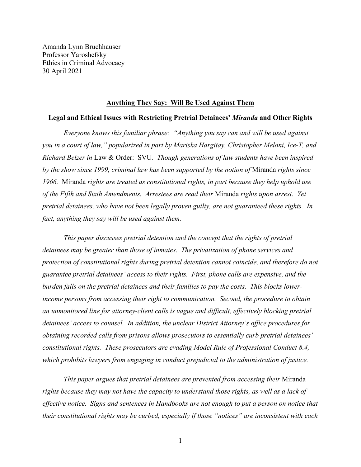Amanda Lynn Bruchhauser Professor Yaroshefsky Ethics in Criminal Advocacy 30 April 2021

#### **Anything They Say: Will Be Used Against Them**

#### **Legal and Ethical Issues with Restricting Pretrial Detainees'** *Miranda* **and Other Rights**

*Everyone knows this familiar phrase: "Anything you say can and will be used against you in a court of law," popularized in part by Mariska Hargitay, Christopher Meloni, Ice-T, and Richard Belzer in* Law & Order: SVU*. Though generations of law students have been inspired by the show since 1999, criminal law has been supported by the notion of* Miranda *rights since 1966.* Miranda *rights are treated as constitutional rights, in part because they help uphold use of the Fifth and Sixth Amendments. Arrestees are read their* Miranda *rights upon arrest. Yet pretrial detainees, who have not been legally proven guilty, are not guaranteed these rights. In fact, anything they say will be used against them.* 

*This paper discusses pretrial detention and the concept that the rights of pretrial detainees may be greater than those of inmates. The privatization of phone services and protection of constitutional rights during pretrial detention cannot coincide, and therefore do not guarantee pretrial detainees' access to their rights. First, phone calls are expensive, and the burden falls on the pretrial detainees and their families to pay the costs. This blocks lowerincome persons from accessing their right to communication. Second, the procedure to obtain an unmonitored line for attorney-client calls is vague and difficult, effectively blocking pretrial detainees' access to counsel. In addition, the unclear District Attorney's office procedures for obtaining recorded calls from prisons allows prosecutors to essentially curb pretrial detainees' constitutional rights. These prosecutors are evading Model Rule of Professional Conduct 8.4, which prohibits lawyers from engaging in conduct prejudicial to the administration of justice.* 

*This paper argues that pretrial detainees are prevented from accessing their* Miranda *rights because they may not have the capacity to understand those rights, as well as a lack of effective notice. Signs and sentences in Handbooks are not enough to put a person on notice that their constitutional rights may be curbed, especially if those "notices" are inconsistent with each* 

1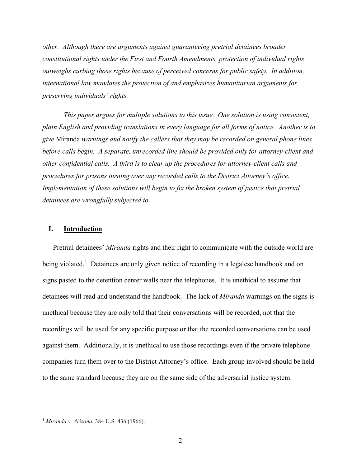*other. Although there are arguments against guaranteeing pretrial detainees broader constitutional rights under the First and Fourth Amendments, protection of individual rights outweighs curbing those rights because of perceived concerns for public safety. In addition, international law mandates the protection of and emphasizes humanitarian arguments for preserving individuals' rights.* 

 *This paper argues for multiple solutions to this issue. One solution is using consistent, plain English and providing translations in every language for all forms of notice. Another is to give* Miranda *warnings and notify the callers that they may be recorded on general phone lines before calls begin. A separate, unrecorded line should be provided only for attorney-client and other confidential calls. A third is to clear up the procedures for attorney-client calls and procedures for prisons turning over any recorded calls to the District Attorney's office. Implementation of these solutions will begin to fix the broken system of justice that pretrial detainees are wrongfully subjected to.* 

#### **I. Introduction**

Pretrial detainees' *Miranda* rights and their right to communicate with the outside world are being violated.<sup>[1](#page-2-0)</sup> Detainees are only given notice of recording in a legalese handbook and on signs pasted to the detention center walls near the telephones. It is unethical to assume that detainees will read and understand the handbook. The lack of *Miranda* warnings on the signs is unethical because they are only told that their conversations will be recorded, not that the recordings will be used for any specific purpose or that the recorded conversations can be used against them. Additionally, it is unethical to use those recordings even if the private telephone companies turn them over to the District Attorney's office. Each group involved should be held to the same standard because they are on the same side of the adversarial justice system.

<span id="page-2-0"></span><sup>1</sup> *Miranda v. Arizona*, 384 U.S. 436 (1966).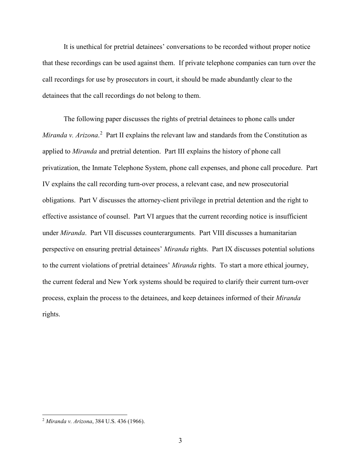It is unethical for pretrial detainees' conversations to be recorded without proper notice that these recordings can be used against them. If private telephone companies can turn over the call recordings for use by prosecutors in court, it should be made abundantly clear to the detainees that the call recordings do not belong to them.

The following paper discusses the rights of pretrial detainees to phone calls under Miranda v. Arizona.<sup>[2](#page-3-0)</sup> Part II explains the relevant law and standards from the Constitution as applied to *Miranda* and pretrial detention. Part III explains the history of phone call privatization, the Inmate Telephone System, phone call expenses, and phone call procedure. Part IV explains the call recording turn-over process, a relevant case, and new prosecutorial obligations. Part V discusses the attorney-client privilege in pretrial detention and the right to effective assistance of counsel. Part VI argues that the current recording notice is insufficient under *Miranda*. Part VII discusses counterarguments. Part VIII discusses a humanitarian perspective on ensuring pretrial detainees' *Miranda* rights. Part IX discusses potential solutions to the current violations of pretrial detainees' *Miranda* rights. To start a more ethical journey, the current federal and New York systems should be required to clarify their current turn-over process, explain the process to the detainees, and keep detainees informed of their *Miranda* rights.

<span id="page-3-0"></span><sup>2</sup> *Miranda v. Arizona*, 384 U.S. 436 (1966).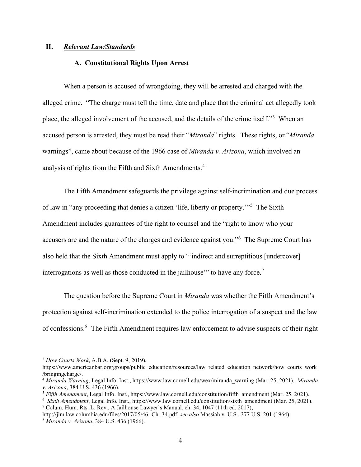### **II.** *Relevant Law/Standards*

#### **A. Constitutional Rights Upon Arrest**

When a person is accused of wrongdoing, they will be arrested and charged with the alleged crime. "The charge must tell the time, date and place that the criminal act allegedly took place, the alleged involvement of the accused, and the details of the crime itself."<sup>[3](#page-4-0)</sup> When an accused person is arrested, they must be read their "*Miranda*" rights.These rights, or "*Miranda* warnings", came about because of the 1966 case of *Miranda v. Arizona*, which involved an analysis of rights from the Fifth and Sixth Amendments.<sup>[4](#page-4-1)</sup>

The Fifth Amendment safeguards the privilege against self-incrimination and due process of law in "any proceeding that denies a citizen 'life, liberty or property."<sup>[5](#page-4-2)</sup> The Sixth Amendment includes guarantees of the right to counsel and the "right to know who your accusers are and the nature of the charges and evidence against you."<sup>[6](#page-4-3)</sup> The Supreme Court has also held that the Sixth Amendment must apply to "'indirect and surreptitious [undercover] interrogations as well as those conducted in the jailhouse" to have any force.<sup>[7](#page-4-4)</sup>

The question before the Supreme Court in *Miranda* was whether the Fifth Amendment's protection against self-incrimination extended to the police interrogation of a suspect and the law of confessions.<sup>[8](#page-4-5)</sup> The Fifth Amendment requires law enforcement to advise suspects of their right

<span id="page-4-0"></span><sup>3</sup> *How Courts Work*, A.B.A. (Sept. 9, 2019),

https://www.americanbar.org/groups/public\_education/resources/law\_related\_education\_network/how\_courts\_work /bringingcharge/.

<span id="page-4-1"></span><sup>4</sup> *Miranda Warning*, Legal Info. Inst.[, https://www.law.cornell.edu/wex/miranda\\_warning](https://www.law.cornell.edu/wex/miranda_warning) (Mar. 25, 2021). *Miranda v. Arizona*, 384 U.S. 436 (1966).

<span id="page-4-2"></span><sup>5</sup> *Fifth Amendment*, Legal Info. Inst., [https://www.law.cornell.edu/constitution/fifth\\_amendment](https://www.law.cornell.edu/constitution/fifth_amendment) (Mar. 25, 2021).

<span id="page-4-4"></span><span id="page-4-3"></span><sup>6</sup> *Sixth Amendment*, Legal Info. Inst., [https://www.law.cornell.edu/constitution/sixth\\_amendment](https://www.law.cornell.edu/constitution/sixth_amendment) (Mar. 25, 2021).  $^7$  Colum. Hum. Rts. L. Rev., A Jailhouse Lawyer's Manual, ch. 34, 1047 (11th ed. 2017),

<span id="page-4-5"></span>http://jlm.law.columbia.edu/files/2017/05/46.-Ch.-34.pdf; *see also* Massiah v. U.S., 377 U.S. 201 (1964). <sup>8</sup> *Miranda v. Arizona*, 384 U.S. 436 (1966).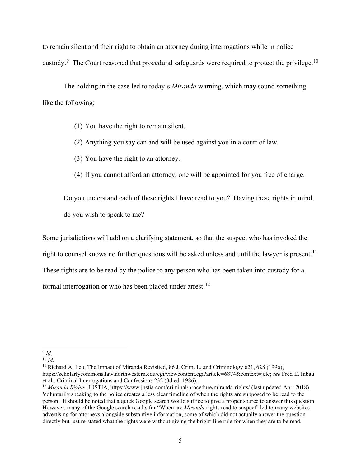to remain silent and their right to obtain an attorney during interrogations while in police custody.<sup>[9](#page-5-0)</sup> The Court reasoned that procedural safeguards were required to protect the privilege.<sup>[10](#page-5-1)</sup>

The holding in the case led to today's *Miranda* warning, which may sound something like the following:

- (1) You have the right to remain silent.
- (2) Anything you say can and will be used against you in a court of law.
- (3) You have the right to an attorney.
- (4) If you cannot afford an attorney, one will be appointed for you free of charge.

Do you understand each of these rights I have read to you? Having these rights in mind, do you wish to speak to me?

Some jurisdictions will add on a clarifying statement, so that the suspect who has invoked the right to counsel knows no further questions will be asked unless and until the lawyer is present.<sup>[11](#page-5-2)</sup> These rights are to be read by the police to any person who has been taken into custody for a formal interrogation or who has been placed under arrest.<sup>[12](#page-5-3)</sup>

<span id="page-5-2"></span><sup>11</sup> Richard A. Leo, The Impact of Miranda Revisited, 86 J. Crim. L. and Criminology 621, 628 (1996), [https://scholarlycommons.law.northwestern.edu/cgi/viewcontent.cgi?article=6874&context=jclc;](https://scholarlycommons.law.northwestern.edu/cgi/viewcontent.cgi?article=6874&context=jclc) *see* Fred E. Inbau et al., Criminal Interrogations and Confessions 232 (3d ed. 1986).

<span id="page-5-0"></span> $9$  *Id.* 

<span id="page-5-1"></span><sup>10</sup> *Id*.

<span id="page-5-3"></span><sup>12</sup> *Miranda Rights*, JUSTIA, <https://www.justia.com/criminal/procedure/miranda-rights/> (last updated Apr. 2018). Voluntarily speaking to the police creates a less clear timeline of when the rights are supposed to be read to the person. It should be noted that a quick Google search would suffice to give a proper source to answer this question. However, many of the Google search results for "When are *Miranda* rights read to suspect" led to many websites advertising for attorneys alongside substantive information, some of which did not actually answer the question directly but just re-stated what the rights were without giving the bright-line rule for when they are to be read.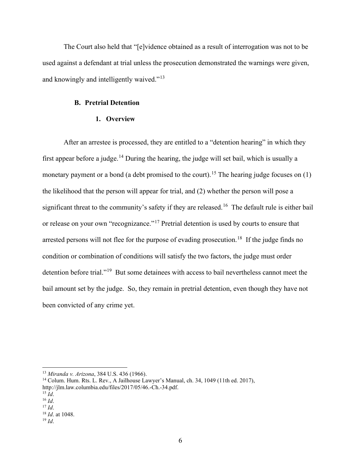The Court also held that "[e]vidence obtained as a result of interrogation was not to be used against a defendant at trial unless the prosecution demonstrated the warnings were given, and knowingly and intelligently waived."<sup>[13](#page-6-0)</sup>

### **B. Pretrial Detention**

#### **1. Overview**

After an arrestee is processed, they are entitled to a "detention hearing" in which they first appear before a judge.<sup>[14](#page-6-1)</sup> During the hearing, the judge will set bail, which is usually a monetary payment or a bond (a debt promised to the court).<sup>[15](#page-6-2)</sup> The hearing judge focuses on (1) the likelihood that the person will appear for trial, and (2) whether the person will pose a significant threat to the community's safety if they are released.<sup>16</sup> The default rule is either bail or release on your own "recognizance."<sup>[17](#page-6-4)</sup> Pretrial detention is used by courts to ensure that arrested persons will not flee for the purpose of evading prosecution.<sup>18</sup> If the judge finds no condition or combination of conditions will satisfy the two factors, the judge must order detention before trial."<sup>19</sup> But some detainees with access to bail nevertheless cannot meet the bail amount set by the judge. So, they remain in pretrial detention, even though they have not been convicted of any crime yet.

<span id="page-6-0"></span><sup>&</sup>lt;sup>13</sup> *Miranda v. Arizona*, 384 U.S. 436 (1966).<br><sup>14</sup> Colum. Hum. Rts. L. Rev., A Jailhouse Lawyer's Manual, ch. 34, 1049 (11th ed. 2017),

<span id="page-6-1"></span>http://jlm.law.columbia.edu/files/2017/05/46.-Ch.-34.pdf.

<span id="page-6-3"></span><span id="page-6-2"></span> $^{15}$  *Id.*<br> $^{16}$  *Id.* 

<span id="page-6-4"></span> $^{17}$  *Id*.

<span id="page-6-5"></span><sup>18</sup> *Id*. at 1048. 19 *Id*.

<span id="page-6-6"></span>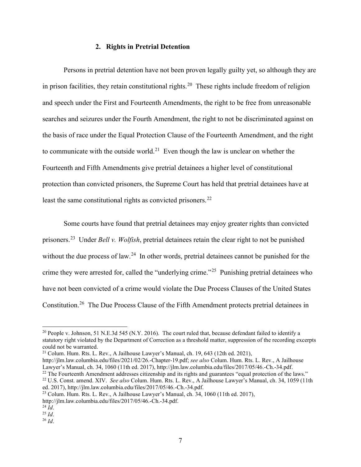### **2. Rights in Pretrial Detention**

Persons in pretrial detention have not been proven legally guilty yet, so although they are in prison facilities, they retain constitutional rights.<sup>[20](#page-7-0)</sup> These rights include freedom of religion and speech under the First and Fourteenth Amendments, the right to be free from unreasonable searches and seizures under the Fourth Amendment, the right to not be discriminated against on the basis of race under the Equal Protection Clause of the Fourteenth Amendment, and the right to communicate with the outside world.<sup>[21](#page-7-1)</sup> Even though the law is unclear on whether the Fourteenth and Fifth Amendments give pretrial detainees a higher level of constitutional protection than convicted prisoners, the Supreme Court has held that pretrial detainees have at least the same constitutional rights as convicted prisoners.<sup>[22](#page-7-2)</sup>

Some courts have found that pretrial detainees may enjoy greater rights than convicted prisoners.[23](#page-7-3) Under *Bell v. Wolfish*, pretrial detainees retain the clear right to not be punished without the due process of law.<sup>24</sup> In other words, pretrial detainees cannot be punished for the crime they were arrested for, called the "underlying crime."<sup>[25](#page-7-5)</sup> Punishing pretrial detainees who have not been convicted of a crime would violate the Due Process Clauses of the United States Constitution.[26](#page-7-6) The Due Process Clause of the Fifth Amendment protects pretrial detainees in

<span id="page-7-0"></span><sup>&</sup>lt;sup>20</sup> People v. Johnson, 51 N.E.3d 545 (N.Y. 2016). The court ruled that, because defendant failed to identify a statutory right violated by the Department of Correction as a threshold matter, suppression of the recording excerpts could not be warranted.

<span id="page-7-1"></span> $21$  Colum. Hum. Rts. L. Rev., A Jailhouse Lawyer's Manual, ch. 19, 643 (12th ed. 2021),

http://jlm.law.columbia.edu/files/2021/02/26.-Chapter-19.pdf; *see also* Colum. Hum. Rts. L. Rev., A Jailhouse Lawyer's Manual, ch. 34, 1060 (11th ed. 2017), http://jlm.law.columbia.edu/files/2017/05/46.-Ch.-34.pdf. <sup>22</sup> The Fourteenth Amendment addresses citizenship and its rights and guarantees "equal protection of the laws."

<span id="page-7-2"></span><sup>&</sup>lt;sup>22</sup> U.S. Const. amend. XIV. *See also* Colum. Hum. Rts. L. Rev., A Jailhouse Lawyer's Manual, ch. 34, 1059 (11th ed. 2017), http://jlm.law.columbia.edu/files/2017/05/46.-Ch.-34.pdf.

<span id="page-7-3"></span><sup>&</sup>lt;sup>23</sup> Colum. Hum. Rts. L. Rev., A Jailhouse Lawyer's Manual, ch. 34, 1060 (11th ed. 2017), http://jlm.law.columbia.edu/files/2017/05/46.-Ch.-34.pdf. 24 *Id*.

<span id="page-7-4"></span>

<span id="page-7-5"></span> $^{25}$  *Id.* 

<span id="page-7-6"></span><sup>26</sup> *Id*.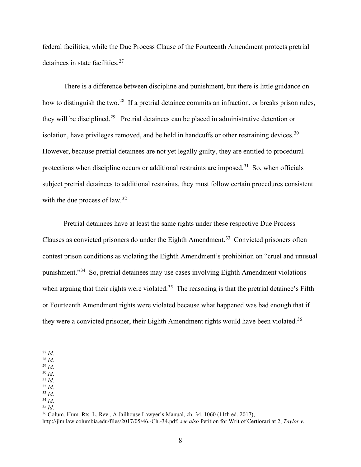federal facilities, while the Due Process Clause of the Fourteenth Amendment protects pretrial detainees in state facilities.<sup>[27](#page-8-0)</sup>

There is a difference between discipline and punishment, but there is little guidance on how to distinguish the two.<sup>28</sup> If a pretrial detainee commits an infraction, or breaks prison rules, they will be disciplined.[29](#page-8-2) Pretrial detainees can be placed in administrative detention or isolation, have privileges removed, and be held in handcuffs or other restraining devices.<sup>[30](#page-8-3)</sup> However, because pretrial detainees are not yet legally guilty, they are entitled to procedural protections when discipline occurs or additional restraints are imposed.<sup>[31](#page-8-4)</sup> So, when officials subject pretrial detainees to additional restraints, they must follow certain procedures consistent with the due process of law.<sup>[32](#page-8-5)</sup>

Pretrial detainees have at least the same rights under these respective Due Process Clauses as convicted prisoners do under the Eighth Amendment.<sup>33</sup> Convicted prisoners often contest prison conditions as violating the Eighth Amendment's prohibition on "cruel and unusual punishment."[34](#page-8-7) So, pretrial detainees may use cases involving Eighth Amendment violations when arguing that their rights were violated.<sup>35</sup> The reasoning is that the pretrial detainee's Fifth or Fourteenth Amendment rights were violated because what happened was bad enough that if they were a convicted prisoner, their Eighth Amendment rights would have been violated.<sup>[36](#page-8-9)</sup>

<span id="page-8-5"></span><span id="page-8-4"></span><sup>32</sup> *Id*.

<span id="page-8-6"></span><sup>33</sup> *Id*.

- <span id="page-8-7"></span><sup>34</sup> *Id*.
- <span id="page-8-8"></span><sup>35</sup> *Id*.

<sup>36</sup> Colum. Hum. Rts. L. Rev., A Jailhouse Lawyer's Manual, ch. 34, 1060 (11th ed. 2017),

<span id="page-8-9"></span>http://jlm.law.columbia.edu/files/2017/05/46.-Ch.-34.pdf; *see also* Petition for Writ of Certiorari at 2, *Taylor v.* 

<span id="page-8-0"></span><sup>27</sup> *Id*.

<span id="page-8-1"></span><sup>28</sup> *Id*.

<span id="page-8-2"></span><sup>29</sup> *Id*. <sup>30</sup> *Id*.

<span id="page-8-3"></span><sup>31</sup> *Id*.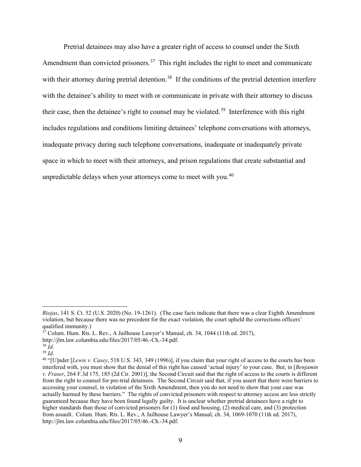Pretrial detainees may also have a greater right of access to counsel under the Sixth Amendment than convicted prisoners.<sup>[37](#page-9-0)</sup> This right includes the right to meet and communicate with their attorney during pretrial detention.<sup>38</sup> If the conditions of the pretrial detention interfere with the detainee's ability to meet with or communicate in private with their attorney to discuss their case, then the detainee's right to counsel may be violated.<sup>39</sup> Interference with this right includes regulations and conditions limiting detainees' telephone conversations with attorneys, inadequate privacy during such telephone conversations, inadequate or inadequately private space in which to meet with their attorneys, and prison regulations that create substantial and unpredictable delays when your attorneys come to meet with you. $40$ 

*Riojas*, 141 S. Ct. 52 (U.S. 2020) (No. 19-1261). (The case facts indicate that there was a clear Eighth Amendment violation, but because there was no precedent for the exact violation, the court upheld the corrections officers' qualified immunity.)

<span id="page-9-0"></span> $3^7$  Colum. Hum. Rts. L. Rev., A Jailhouse Lawyer's Manual, ch. 34, 1044 (11th ed. 2017),

http://jlm.law.columbia.edu/files/2017/05/46.-Ch.-34.pdf.

<sup>38</sup> *Id*.

<span id="page-9-2"></span><span id="page-9-1"></span><sup>39</sup> *Id*.

<span id="page-9-3"></span><sup>40</sup> "[U]nder [*Lewis v. Casey*, 518 U.S. 343, 349 (1996)], if you claim that your right of access to the courts has been interfered with, you must show that the denial of this right has caused 'actual injury' to your case. But, in [*Benjamin v. Fraser*, 264 F.3d 175, 185 (2d Cir. 2001)], the Second Circuit said that the right of access to the courts is different from the right to counsel for pre-trial detainees. The Second Circuit said that, if you assert that there were barriers to accessing your counsel, in violation of the Sixth Amendment, then you do not need to show that your case was actually harmed by these barriers." The rights of convicted prisoners with respect to attorney access are less strictly guaranteed because they have been found legally guilty. It is unclear whether pretrial detainees have a right to higher standards than those of convicted prisoners for (1) food and housing, (2) medical care, and (3) protection from assault. Colum. Hum. Rts. L. Rev., A Jailhouse Lawyer's Manual, ch. 34, 1069-1070 (11th ed. 2017), http://jlm.law.columbia.edu/files/2017/05/46.-Ch.-34.pdf.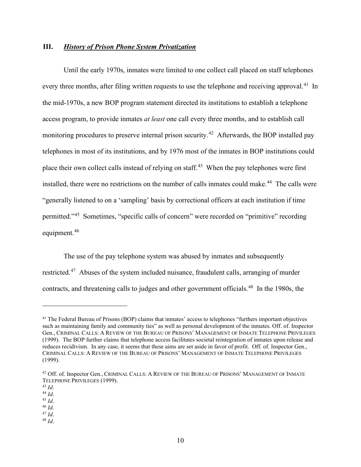#### **III.** *History of Prison Phone System Privatization*

Until the early 1970s, inmates were limited to one collect call placed on staff telephones every three months, after filing written requests to use the telephone and receiving approval.<sup>41</sup> In the mid-1970s, a new BOP program statement directed its institutions to establish a telephone access program, to provide inmates *at least* one call every three months, and to establish call monitoring procedures to preserve internal prison security.<sup>[42](#page-10-1)</sup> Afterwards, the BOP installed pay telephones in most of its institutions, and by 1976 most of the inmates in BOP institutions could place their own collect calls instead of relying on staff.<sup>43</sup> When the pay telephones were first installed, there were no restrictions on the number of calls inmates could make.<sup>[44](#page-10-3)</sup> The calls were "generally listened to on a 'sampling' basis by correctional officers at each institution if time permitted."[45](#page-10-4) Sometimes, "specific calls of concern" were recorded on "primitive" recording equipment.<sup>[46](#page-10-5)</sup>

 The use of the pay telephone system was abused by inmates and subsequently restricted.<sup>[47](#page-10-6)</sup> Abuses of the system included nuisance, fraudulent calls, arranging of murder contracts, and threatening calls to judges and other government officials.<sup>48</sup> In the 1980s, the

<span id="page-10-7"></span><span id="page-10-6"></span>

<span id="page-10-0"></span><sup>&</sup>lt;sup>41</sup> The Federal Bureau of Prisons (BOP) claims that inmates' access to telephones "furthers important objectives" such as maintaining family and community ties" as well as personal development of the inmates. Off. of. Inspector Gen., CRIMINAL CALLS: A REVIEW OF THE BUREAU OF PRISONS' MANAGEMENT OF INMATE TELEPHONE PRIVILEGES (1999). The BOP further claims that telephone access facilitates societal reintegration of inmates upon release and reduces recidivism. In any case, it seems that these aims are set aside in favor of profit. Off. of. Inspector Gen., CRIMINAL CALLS: A REVIEW OF THE BUREAU OF PRISONS' MANAGEMENT OF INMATE TELEPHONE PRIVILEGES (1999).

<span id="page-10-1"></span><sup>&</sup>lt;sup>42</sup> Off. of. Inspector Gen., CRIMINAL CALLS: A REVIEW OF THE BUREAU OF PRISONS' MANAGEMENT OF INMATE TELEPHONE PRIVILEGES (1999).<br><sup>43</sup> *Id.* 

<span id="page-10-5"></span><span id="page-10-4"></span>

<span id="page-10-3"></span><span id="page-10-2"></span><sup>43</sup> *Id*. 44 *Id*. 45 *Id*. 46 *Id*. 47 *Id*. 48 *Id*.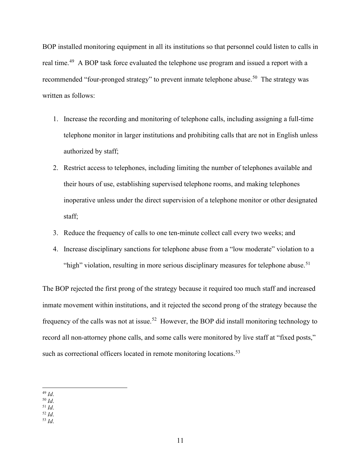BOP installed monitoring equipment in all its institutions so that personnel could listen to calls in real time.<sup>[49](#page-11-0)</sup> A BOP task force evaluated the telephone use program and issued a report with a recommended "four-pronged strategy" to prevent inmate telephone abuse.<sup>50</sup> The strategy was written as follows:

- 1. Increase the recording and monitoring of telephone calls, including assigning a full-time telephone monitor in larger institutions and prohibiting calls that are not in English unless authorized by staff;
- 2. Restrict access to telephones, including limiting the number of telephones available and their hours of use, establishing supervised telephone rooms, and making telephones inoperative unless under the direct supervision of a telephone monitor or other designated staff;
- 3. Reduce the frequency of calls to one ten-minute collect call every two weeks; and
- 4. Increase disciplinary sanctions for telephone abuse from a "low moderate" violation to a "high" violation, resulting in more serious disciplinary measures for telephone abuse.<sup>[51](#page-11-2)</sup>

The BOP rejected the first prong of the strategy because it required too much staff and increased inmate movement within institutions, and it rejected the second prong of the strategy because the frequency of the calls was not at issue.[52](#page-11-3) However, the BOP did install monitoring technology to record all non-attorney phone calls, and some calls were monitored by live staff at "fixed posts," such as correctional officers located in remote monitoring locations.<sup>[53](#page-11-4)</sup>

<sup>50</sup> *Id*.

<span id="page-11-4"></span><sup>53</sup> *Id*.

<span id="page-11-0"></span><sup>49</sup> *Id*.

<span id="page-11-3"></span><span id="page-11-2"></span><span id="page-11-1"></span><sup>51</sup> *Id*. <sup>52</sup> *Id*.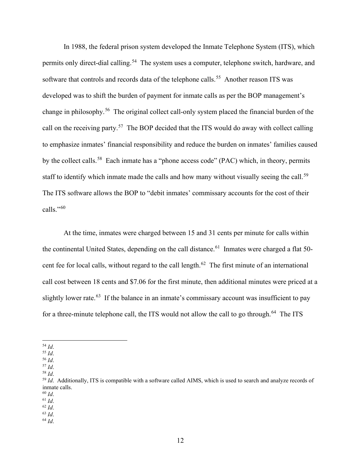In 1988, the federal prison system developed the Inmate Telephone System (ITS), which permits only direct-dial calling.<sup>54</sup> The system uses a computer, telephone switch, hardware, and software that controls and records data of the telephone calls.<sup>55</sup> Another reason ITS was developed was to shift the burden of payment for inmate calls as per the BOP management's change in philosophy.[56](#page-12-2) The original collect call-only system placed the financial burden of the call on the receiving party.[57](#page-12-3) The BOP decided that the ITS would do away with collect calling to emphasize inmates' financial responsibility and reduce the burden on inmates' families caused by the collect calls.<sup>[58](#page-12-4)</sup> Each inmate has a "phone access code" (PAC) which, in theory, permits staff to identify which inmate made the calls and how many without visually seeing the call.<sup>[59](#page-12-5)</sup> The ITS software allows the BOP to "debit inmates' commissary accounts for the cost of their calls."[60](#page-12-6)

At the time, inmates were charged between 15 and 31 cents per minute for calls within the continental United States, depending on the call distance.<sup>[61](#page-12-7)</sup> Inmates were charged a flat 50-cent fee for local calls, without regard to the call length.<sup>[62](#page-12-8)</sup> The first minute of an international call cost between 18 cents and \$7.06 for the first minute, then additional minutes were priced at a slightly lower rate.<sup>[63](#page-12-9)</sup> If the balance in an inmate's commissary account was insufficient to pay for a three-minute telephone call, the ITS would not allow the call to go through.<sup>[64](#page-12-10)</sup> The ITS

- <span id="page-12-2"></span><sup>56</sup> *Id*.
- <span id="page-12-3"></span><sup>57</sup> *Id*.

<span id="page-12-6"></span><sup>60</sup> *Id*.

- <span id="page-12-9"></span><span id="page-12-8"></span><sup>63</sup> *Id*.
- <span id="page-12-10"></span><sup>64</sup> *Id*.

<span id="page-12-0"></span><sup>54</sup> *Id*.

<span id="page-12-1"></span><sup>55</sup> *Id*.

<span id="page-12-4"></span><sup>58</sup> *Id*.

<span id="page-12-5"></span><sup>&</sup>lt;sup>59</sup> *Id.* Additionally, ITS is compatible with a software called AIMS, which is used to search and analyze records of inmate calls.

<span id="page-12-7"></span><sup>61</sup> *Id*. <sup>62</sup> *Id*.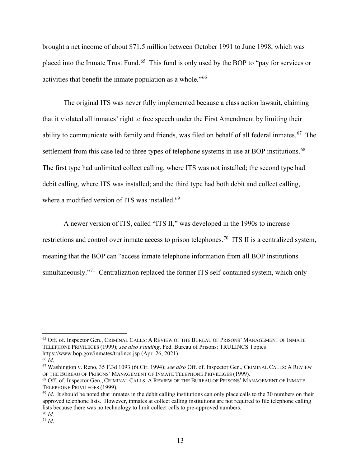brought a net income of about \$71.5 million between October 1991 to June 1998, which was placed into the Inmate Trust Fund.<sup>65</sup> This fund is only used by the BOP to "pay for services or activities that benefit the inmate population as a whole."[66](#page-13-1)

The original ITS was never fully implemented because a class action lawsuit, claiming that it violated all inmates' right to free speech under the First Amendment by limiting their ability to communicate with family and friends, was filed on behalf of all federal inmates.<sup>67</sup> The settlement from this case led to three types of telephone systems in use at BOP institutions.<sup>[68](#page-13-3)</sup> The first type had unlimited collect calling, where ITS was not installed; the second type had debit calling, where ITS was installed; and the third type had both debit and collect calling, where a modified version of ITS was installed.<sup>[69](#page-13-4)</sup>

 A newer version of ITS, called "ITS II," was developed in the 1990s to increase restrictions and control over inmate access to prison telephones.<sup>70</sup> ITS II is a centralized system, meaning that the BOP can "access inmate telephone information from all BOP institutions simultaneously."<sup>71</sup> Centralization replaced the former ITS self-contained system, which only

<span id="page-13-0"></span><sup>&</sup>lt;sup>65</sup> Off. of. Inspector Gen., CRIMINAL CALLS: A REVIEW OF THE BUREAU OF PRISONS' MANAGEMENT OF INMATE TELEPHONE PRIVILEGES (1999); *see also Funding*, Fed. Bureau of Prisons: TRULINCS Topics <https://www.bop.gov/inmates/trulincs.jsp> (Apr. 26, 2021).

<span id="page-13-2"></span><span id="page-13-1"></span><sup>66</sup> *Id*. 67 Washington v. Reno, 35 F.3d 1093 (6t Cir. 1994); *see also* Off. of. Inspector Gen., CRIMINAL CALLS: <sup>A</sup> REVIEW OF THE BUREAU OF PRISONS' MANAGEMENT OF INMATE TELEPHONE PRIVILEGES (1999).

<span id="page-13-3"></span><sup>68</sup> Off. of. Inspector Gen., CRIMINAL CALLS: A REVIEW OF THE BUREAU OF PRISONS' MANAGEMENT OF INMATE TELEPHONE PRIVILEGES (1999).

<span id="page-13-4"></span><sup>&</sup>lt;sup>69</sup> *Id*. It should be noted that inmates in the debit calling institutions can only place calls to the 30 numbers on their approved telephone lists. However, inmates at collect calling institutions are not required to file telephone calling lists because there was no technology to limit collect calls to pre-approved numbers.<br><sup>70</sup> *Id*.<br><sup>71</sup> *Id*.

<span id="page-13-6"></span><span id="page-13-5"></span>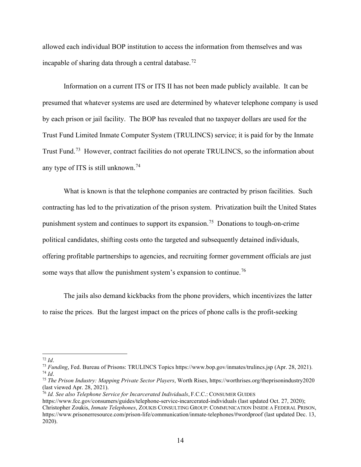allowed each individual BOP institution to access the information from themselves and was incapable of sharing data through a central database.<sup>[72](#page-14-0)</sup>

Information on a current ITS or ITS II has not been made publicly available. It can be presumed that whatever systems are used are determined by whatever telephone company is used by each prison or jail facility. The BOP has revealed that no taxpayer dollars are used for the Trust Fund Limited Inmate Computer System (TRULINCS) service; it is paid for by the Inmate Trust Fund.[73](#page-14-1) However, contract facilities do not operate TRULINCS, so the information about any type of ITS is still unknown.<sup>[74](#page-14-2)</sup>

What is known is that the telephone companies are contracted by prison facilities. Such contracting has led to the privatization of the prison system. Privatization built the United States punishment system and continues to support its expansion.<sup>75</sup> Donations to tough-on-crime political candidates, shifting costs onto the targeted and subsequently detained individuals, offering profitable partnerships to agencies, and recruiting former government officials are just some ways that allow the punishment system's expansion to continue.<sup>[76](#page-14-4)</sup>

The jails also demand kickbacks from the phone providers, which incentivizes the latter to raise the prices. But the largest impact on the prices of phone calls is the profit-seeking

<span id="page-14-1"></span><span id="page-14-0"></span><sup>72</sup> *Id*. 73 *Funding*, Fed. Bureau of Prisons: TRULINCS Topics<https://www.bop.gov/inmates/trulincs.jsp> (Apr. 28, 2021).

<span id="page-14-3"></span><span id="page-14-2"></span><sup>74</sup> *Id*. 75 *The Prison Industry: Mapping Private Sector Players*, Worth Rises, https://worthrises.org/theprisonindustry2020 (last viewed Apr. 28, 2021).

<span id="page-14-4"></span><sup>76</sup> *Id. See also Telephone Service for Incarcerated Individuals*, F.C.C.: CONSUMER GUIDES

<https://www.fcc.gov/consumers/guides/telephone-service-incarcerated-individuals> (last updated Oct. 27, 2020); Christopher Zoukis, *Inmate Telephones*, ZOUKIS CONSULTING GROUP: COMMUNICATION INSIDE A FEDERAL PRISON, <https://www.prisonerresource.com/prison-life/communication/inmate-telephones/#wordproof> (last updated Dec. 13, 2020).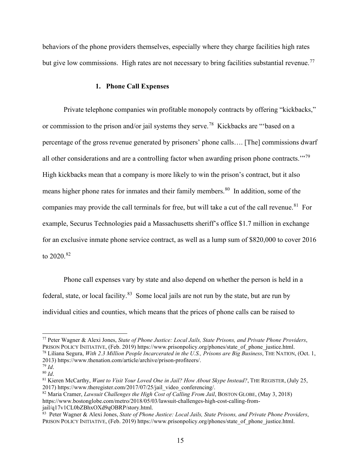behaviors of the phone providers themselves, especially where they charge facilities high rates but give low commissions. High rates are not necessary to bring facilities substantial revenue.<sup>[77](#page-15-0)</sup>

#### **1. Phone Call Expenses**

Private telephone companies win profitable monopoly contracts by offering "kickbacks," or commission to the prison and/or jail systems they serve.[78](#page-15-1) Kickbacks are "'based on a percentage of the gross revenue generated by prisoners' phone calls…. [The] commissions dwarf all other considerations and are a controlling factor when awarding prison phone contracts.'"[79](#page-15-2) High kickbacks mean that a company is more likely to win the prison's contract, but it also means higher phone rates for inmates and their family members.<sup>80</sup> In addition, some of the companies may provide the call terminals for free, but will take a cut of the call revenue.<sup>81</sup> For example, Securus Technologies paid a Massachusetts sheriff's office \$1.7 million in exchange for an exclusive inmate phone service contract, as well as a lump sum of \$820,000 to cover 2016 to  $2020^{82}$  $2020^{82}$  $2020^{82}$ 

Phone call expenses vary by state and also depend on whether the person is held in a federal, state, or local facility. $83$  Some local jails are not run by the state, but are run by individual cities and counties, which means that the prices of phone calls can be raised to

<span id="page-15-1"></span><span id="page-15-0"></span><sup>77</sup> Peter Wagner & Alexi Jones, *State of Phone Justice: Local Jails, State Prisons, and Private Phone Providers*, PRISON POLICY INITIATIVE, (Feb. 2019) [https://www.prisonpolicy.org/phones/state\\_of\\_phone\\_justice.html.](https://www.prisonpolicy.org/phones/state_of_phone_justice.html) <sup>78</sup> Liliana Segura, *With 2.3 Million People Incarcerated in the U.S., Prisons are Big Business*, THE NATION, (Oct. 1, 2013) [https://www.thenation.com/article/archive/prison-profiteers/.](https://www.thenation.com/article/archive/prison-profiteers/) 79 *Id*.

<span id="page-15-3"></span><span id="page-15-2"></span><sup>80</sup> *Id*.

<span id="page-15-4"></span><sup>81</sup> Kieren McCarthy, *Want to Visit Your Loved One in Jail? How About Skype Instead?*, THE REGISTER, (July 25, 2017) [https://www.theregister.com/2017/07/25/jail\\_video\\_conferencing/.](https://www.theregister.com/2017/07/25/jail_video_conferencing/)

<span id="page-15-5"></span><sup>82</sup> Maria Cramer, *Lawsuit Challenges the High Cost of Calling From Jail*, BOSTON GLOBE, (May 3, 2018) [https://www.bostonglobe.com/metro/2018/05/03/lawsuit-challenges-high-cost-calling-from](https://www.bostonglobe.com/metro/2018/05/03/lawsuit-challenges-high-cost-calling-from-jail/q17v1CL0bZBhxOXd9qOBRP/story.html)[jail/q17v1CL0bZBhxOXd9qOBRP/story.html.](https://www.bostonglobe.com/metro/2018/05/03/lawsuit-challenges-high-cost-calling-from-jail/q17v1CL0bZBhxOXd9qOBRP/story.html)

<span id="page-15-6"></span><sup>83</sup> Peter Wagner & Alexi Jones, *State of Phone Justice: Local Jails, State Prisons, and Private Phone Providers*, PRISON POLICY INITIATIVE, (Feb. 2019) [https://www.prisonpolicy.org/phones/state\\_of\\_phone\\_justice.html.](https://www.prisonpolicy.org/phones/state_of_phone_justice.html)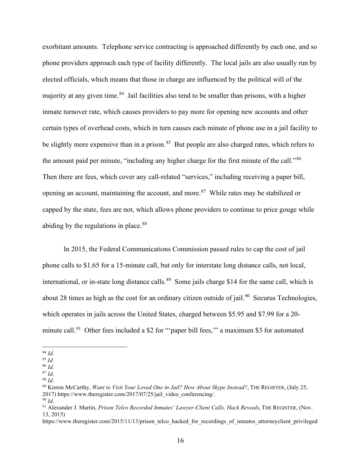exorbitant amounts. Telephone service contracting is approached differently by each one, and so phone providers approach each type of facility differently. The local jails are also usually run by elected officials, which means that those in charge are influenced by the political will of the majority at any given time.<sup>[84](#page-16-0)</sup> Jail facilities also tend to be smaller than prisons, with a higher inmate turnover rate, which causes providers to pay more for opening new accounts and other certain types of overhead costs, which in turn causes each minute of phone use in a jail facility to be slightly more expensive than in a prison.<sup>85</sup> But people are also charged rates, which refers to the amount paid per minute, "including any higher charge for the first minute of the call."<sup>86</sup> Then there are fees, which cover any call-related "services," including receiving a paper bill, opening an account, maintaining the account, and more.[87](#page-16-3) While rates may be stabilized or capped by the state, fees are not, which allows phone providers to continue to price gouge while abiding by the regulations in place.<sup>[88](#page-16-4)</sup>

In 2015, the Federal Communications Commission passed rules to cap the cost of jail phone calls to \$1.65 for a 15-minute call, but only for interstate long distance calls, not local, international, or in-state long distance calls.<sup>[89](#page-16-5)</sup> Some jails charge \$14 for the same call, which is about 28 times as high as the cost for an ordinary citizen outside of jail.<sup>90</sup> Securus Technologies, which operates in jails across the United States, charged between \$5.95 and \$7.99 for a 20- minute call.<sup>[91](#page-16-7)</sup> Other fees included a \$2 for "paper bill fees," a maximum \$3 for automated

<span id="page-16-0"></span><sup>84</sup> *Id*.

<span id="page-16-1"></span><sup>85</sup> *Id*.

<sup>86</sup> *Id*.

 $\frac{87}{88}$  *Id*.

<span id="page-16-7"></span><span id="page-16-6"></span><span id="page-16-5"></span><span id="page-16-4"></span><span id="page-16-3"></span><span id="page-16-2"></span><sup>&</sup>lt;sup>89</sup> Kieren McCarthy, *Want to Visit Your Loved One in Jail? How About Skype Instead?*, THE REGISTER, (July 25, 2017) [https://www.theregister.com/2017/07/25/jail\\_video\\_conferencing/.](https://www.theregister.com/2017/07/25/jail_video_conferencing/)

<sup>90</sup> *Id*.

<sup>91</sup> Alexander J. Martin, *Prison Telco Recorded Inmates' Lawyer-Client Calls, Hack Reveals*, THE REGISTER, (Nov. 13, 2015)

[https://www.theregister.com/2015/11/13/prison\\_telco\\_hacked\\_for\\_recordings\\_of\\_inmates\\_attorneyclient\\_privileged](https://www.theregister.com/2015/11/13/prison_telco_hacked_for_recordings_of_inmates_attorneyclient_privileged_calls/)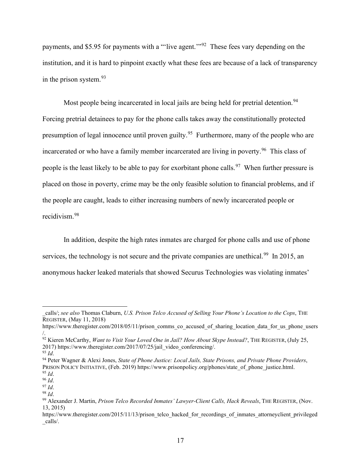payments, and \$5.95 for payments with a "'live agent.'"[92](#page-17-0) These fees vary depending on the institution, and it is hard to pinpoint exactly what these fees are because of a lack of transparency in the prison system.[93](#page-17-1)

Most people being incarcerated in local jails are being held for pretrial detention.<sup>94</sup> Forcing pretrial detainees to pay for the phone calls takes away the constitutionally protected presumption of legal innocence until proven guilty.<sup>95</sup> Furthermore, many of the people who are incarcerated or who have a family member incarcerated are living in poverty.<sup>96</sup> This class of people is the least likely to be able to pay for exorbitant phone calls.<sup>97</sup> When further pressure is placed on those in poverty, crime may be the only feasible solution to financial problems, and if the people are caught, leads to either increasing numbers of newly incarcerated people or recidivism.[98](#page-17-6)

In addition, despite the high rates inmates are charged for phone calls and use of phone services, the technology is not secure and the private companies are unethical.<sup>[99](#page-17-7)</sup> In 2015, an anonymous hacker leaked materials that showed Securus Technologies was violating inmates'

[\\_calls/;](https://www.theregister.com/2015/11/13/prison_telco_hacked_for_recordings_of_inmates_attorneyclient_privileged_calls/) *see also* Thomas Claburn, *U.S. Prison Telco Accused of Selling Your Phone's Location to the Cops*, THE REGISTER, (May 11, 2018)

[https://www.theregister.com/2018/05/11/prison\\_comms\\_co\\_accused\\_of\\_sharing\\_location\\_data\\_for\\_us\\_phone\\_users](https://www.theregister.com/2018/05/11/prison_comms_co_accused_of_sharing_location_data_for_us_phone_users/) [/.](https://www.theregister.com/2018/05/11/prison_comms_co_accused_of_sharing_location_data_for_us_phone_users/)

<span id="page-17-0"></span><sup>92</sup> Kieren McCarthy, *Want to Visit Your Loved One in Jail? How About Skype Instead?*, THE REGISTER, (July 25, 2017) [https://www.theregister.com/2017/07/25/jail\\_video\\_conferencing/.](https://www.theregister.com/2017/07/25/jail_video_conferencing/)

<span id="page-17-1"></span><sup>93</sup> *Id*.

<span id="page-17-2"></span><sup>94</sup> Peter Wagner & Alexi Jones, *State of Phone Justice: Local Jails, State Prisons, and Private Phone Providers*, PRISON POLICY INITIATIVE, (Feb. 2019) [https://www.prisonpolicy.org/phones/state\\_of\\_phone\\_justice.html.](https://www.prisonpolicy.org/phones/state_of_phone_justice.html) <sup>95</sup> *Id*.

<span id="page-17-4"></span><span id="page-17-3"></span><sup>96</sup> *Id*.

<span id="page-17-5"></span><sup>97</sup> *Id*.

<span id="page-17-6"></span><sup>98</sup> *Id*.

<span id="page-17-7"></span><sup>99</sup> Alexander J. Martin, *Prison Telco Recorded Inmates' Lawyer-Client Calls, Hack Reveals*, THE REGISTER, (Nov. 13, 2015)

[https://www.theregister.com/2015/11/13/prison\\_telco\\_hacked\\_for\\_recordings\\_of\\_inmates\\_attorneyclient\\_privileged](https://www.theregister.com/2015/11/13/prison_telco_hacked_for_recordings_of_inmates_attorneyclient_privileged_calls/) [\\_calls/.](https://www.theregister.com/2015/11/13/prison_telco_hacked_for_recordings_of_inmates_attorneyclient_privileged_calls/)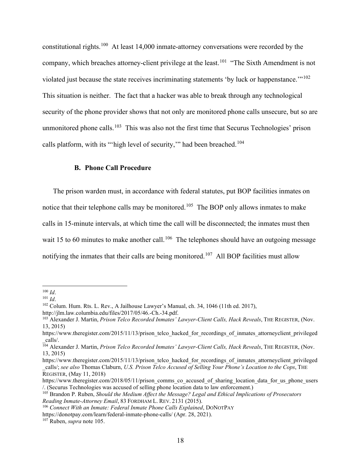constitutional rights.[100](#page-18-0) At least 14,000 inmate-attorney conversations were recorded by the company, which breaches attorney-client privilege at the least.<sup>101</sup> "The Sixth Amendment is not violated just because the state receives incriminating statements 'by luck or happenstance.'"[102](#page-18-2)  This situation is neither. The fact that a hacker was able to break through any technological security of the phone provider shows that not only are monitored phone calls unsecure, but so are unmonitored phone calls.<sup>[103](#page-18-3)</sup> This was also not the first time that Securus Technologies' prison calls platform, with its "'high level of security," had been breached.<sup>[104](#page-18-4)</sup>

#### **B. Phone Call Procedure**

The prison warden must, in accordance with federal statutes, put BOP facilities inmates on notice that their telephone calls may be monitored.<sup>105</sup> The BOP only allows inmates to make calls in 15-minute intervals, at which time the call will be disconnected; the inmates must then wait 15 to 60 minutes to make another call.<sup>[106](#page-18-6)</sup> The telephones should have an outgoing message notifying the inmates that their calls are being monitored.<sup>[107](#page-18-7)</sup> All BOP facilities must allow

<sup>100</sup> *Id*.

<span id="page-18-1"></span><span id="page-18-0"></span><sup>101</sup> *Id*.

<span id="page-18-2"></span><sup>102</sup> Colum. Hum. Rts. L. Rev., A Jailhouse Lawyer's Manual, ch. 34, 1046 (11th ed. 2017),

<span id="page-18-3"></span>http://jlm.law.columbia.edu/files/2017/05/46.-Ch.-34.pdf.<br><sup>103</sup> Alexander J. Martin, *Prison Telco Recorded Inmates' Lawyer-Client Calls, Hack Reveals*, THE REGISTER, (Nov. 13, 2015)

[https://www.theregister.com/2015/11/13/prison\\_telco\\_hacked\\_for\\_recordings\\_of\\_inmates\\_attorneyclient\\_privileged](https://www.theregister.com/2015/11/13/prison_telco_hacked_for_recordings_of_inmates_attorneyclient_privileged_calls/) [\\_calls/.](https://www.theregister.com/2015/11/13/prison_telco_hacked_for_recordings_of_inmates_attorneyclient_privileged_calls/)

<span id="page-18-4"></span><sup>&</sup>lt;sup>104</sup> Alexander J. Martin, *Prison Telco Recorded Inmates' Lawyer-Client Calls, Hack Reveals*, THE REGISTER, (Nov. 13, 2015)

[https://www.theregister.com/2015/11/13/prison\\_telco\\_hacked\\_for\\_recordings\\_of\\_inmates\\_attorneyclient\\_privileged](https://www.theregister.com/2015/11/13/prison_telco_hacked_for_recordings_of_inmates_attorneyclient_privileged_calls/) [\\_calls/;](https://www.theregister.com/2015/11/13/prison_telco_hacked_for_recordings_of_inmates_attorneyclient_privileged_calls/) *see also* Thomas Claburn, *U.S. Prison Telco Accused of Selling Your Phone's Location to the Cops*, THE REGISTER, (May 11, 2018)

[https://www.theregister.com/2018/05/11/prison\\_comms\\_co\\_accused\\_of\\_sharing\\_location\\_data\\_for\\_us\\_phone\\_users](https://www.theregister.com/2018/05/11/prison_comms_co_accused_of_sharing_location_data_for_us_phone_users/) [/.](https://www.theregister.com/2018/05/11/prison_comms_co_accused_of_sharing_location_data_for_us_phone_users/) (Securus Technologies was accused of selling phone location data to law enforcement.)

<span id="page-18-5"></span><sup>105</sup> Brandon P. Ruben, *Should the Medium Affect the Message? Legal and Ethical Implications of Prosecutors Reading Inmate-Attorney Email*, 83 FORDHAM L. REV. 2131 (2015).

<span id="page-18-6"></span><sup>106</sup> *Connect With an Inmate: Federal Inmate Phone Calls Explained*, DONOTPAY

<https://donotpay.com/learn/federal-inmate-phone-calls/> (Apr. 28, 2021).

<span id="page-18-7"></span><sup>107</sup> Ruben, *supra* note 105.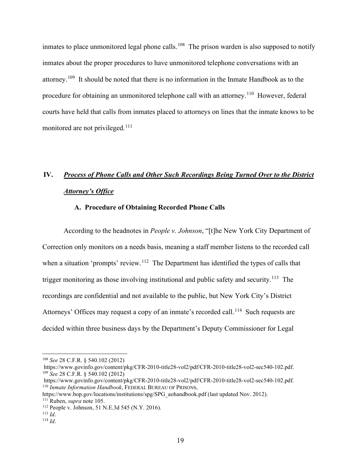inmates to place unmonitored legal phone calls.<sup>108</sup> The prison warden is also supposed to notify inmates about the proper procedures to have unmonitored telephone conversations with an attorney.<sup>[109](#page-19-1)</sup> It should be noted that there is no information in the Inmate Handbook as to the procedure for obtaining an unmonitored telephone call with an attorney.<sup>110</sup> However, federal courts have held that calls from inmates placed to attorneys on lines that the inmate knows to be monitored are not privileged.<sup>[111](#page-19-3)</sup>

## **IV.** *Process of Phone Calls and Other Such Recordings Being Turned Over to the District Attorney's Office*

## **A. Procedure of Obtaining Recorded Phone Calls**

According to the headnotes in *People v. Johnson*, "[t]he New York City Department of Correction only monitors on a needs basis, meaning a staff member listens to the recorded call when a situation 'prompts' review.<sup>[112](#page-19-4)</sup> The Department has identified the types of calls that trigger monitoring as those involving institutional and public safety and security.<sup>[113](#page-19-5)</sup> The recordings are confidential and not available to the public, but New York City's District Attorneys' Offices may request a copy of an inmate's recorded call.<sup>[114](#page-19-6)</sup> Such requests are decided within three business days by the Department's Deputy Commissioner for Legal

<span id="page-19-0"></span><sup>108</sup> *See* 28 C.F.R. § 540.102 (2012)

https://www.govinfo.gov/content/pkg/CFR-2010-title28-vol2/pdf/CFR-2010-title28-vol2-sec540-102.pdf. <sup>109</sup> *See* 28 C.F.R. § 540.102 (2012)

<span id="page-19-1"></span>[https://www.govinfo.gov/content/pkg/CFR-2010-title28-vol2/pdf/CFR-2010-title28-vol2-sec540-102.pdf.](https://www.govinfo.gov/content/pkg/CFR-2010-title28-vol2/pdf/CFR-2010-title28-vol2-sec540-102.pdf) 110 *Inmate Information Handbook*, FEDERAL BUREAU OF PRISONS,

<span id="page-19-2"></span>[https://www.bop.gov/locations/institutions/spg/SPG\\_aohandbook.pdf](https://www.bop.gov/locations/institutions/spg/SPG_aohandbook.pdf) (last updated Nov. 2012).

<span id="page-19-4"></span><span id="page-19-3"></span><sup>111</sup> Ruben, *supra* note 105. 112 People v. Johnson, 51 N.E.3d 545 (N.Y. 2016). 113 *Id*.

<span id="page-19-5"></span>

<span id="page-19-6"></span><sup>114</sup> *Id*.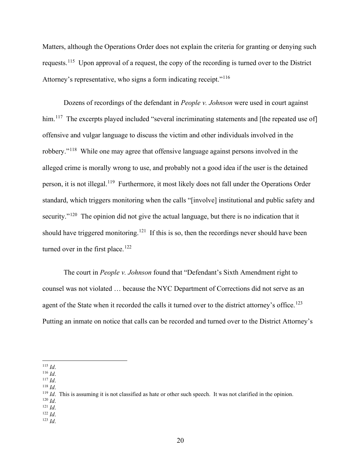Matters, although the Operations Order does not explain the criteria for granting or denying such requests.[115](#page-20-0) Upon approval of a request, the copy of the recording is turned over to the District Attorney's representative, who signs a form indicating receipt."<sup>[116](#page-20-1)</sup>

Dozens of recordings of the defendant in *People v. Johnson* were used in court against him.<sup>[117](#page-20-2)</sup> The excerpts played included "several incriminating statements and [the repeated use of] offensive and vulgar language to discuss the victim and other individuals involved in the robbery."[118](#page-20-3) While one may agree that offensive language against persons involved in the alleged crime is morally wrong to use, and probably not a good idea if the user is the detained person, it is not illegal.[119](#page-20-4) Furthermore, it most likely does not fall under the Operations Order standard, which triggers monitoring when the calls "[involve] institutional and public safety and security."<sup>[120](#page-20-5)</sup> The opinion did not give the actual language, but there is no indication that it should have triggered monitoring.<sup>[121](#page-20-6)</sup> If this is so, then the recordings never should have been turned over in the first place.<sup>[122](#page-20-7)</sup>

The court in *People v. Johnson* found that "Defendant's Sixth Amendment right to counsel was not violated … because the NYC Department of Corrections did not serve as an agent of the State when it recorded the calls it turned over to the district attorney's office.<sup>123</sup> Putting an inmate on notice that calls can be recorded and turned over to the District Attorney's

<span id="page-20-6"></span><span id="page-20-5"></span>

<span id="page-20-8"></span><span id="page-20-7"></span><sup>123</sup> *Id*.

<span id="page-20-0"></span><sup>115</sup> *Id*.

<span id="page-20-1"></span><sup>116</sup> *Id*.

<span id="page-20-2"></span><sup>117</sup> *Id*.

<span id="page-20-3"></span><sup>118</sup> *Id*.

<span id="page-20-4"></span><sup>&</sup>lt;sup>119</sup> *Id*. This is assuming it is not classified as hate or other such speech. It was not clarified in the opinion. <sup>120</sup> *Id*.

<sup>121</sup> *Id*. <sup>122</sup> *Id*.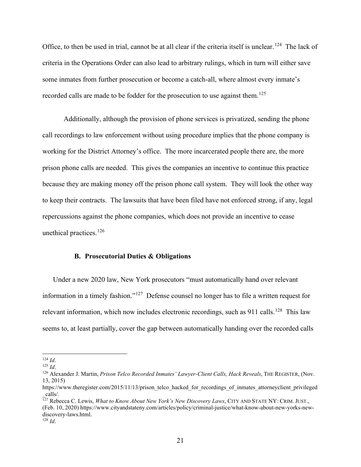Office, to then be used in trial, cannot be at all clear if the criteria itself is unclear.<sup>[124](#page-21-0)</sup> The lack of criteria in the Operations Order can also lead to arbitrary rulings, which in turn will either save some inmates from further prosecution or become a catch-all, where almost every inmate's recorded calls are made to be fodder for the prosecution to use against them.<sup>[125](#page-21-1)</sup>

Additionally, although the provision of phone services is privatized, sending the phone call recordings to law enforcement without using procedure implies that the phone company is working for the District Attorney's office. The more incarcerated people there are, the more prison phone calls are needed. This gives the companies an incentive to continue this practice because they are making money off the prison phone call system. They will look the other way to keep their contracts. The lawsuits that have been filed have not enforced strong, if any, legal repercussions against the phone companies, which does not provide an incentive to cease unethical practices.<sup>[126](#page-21-2)</sup>

#### **B. Prosecutorial Duties & Obligations**

Under a new 2020 law, New York prosecutors "must automatically hand over relevant information in a timely fashion."[127](#page-21-3) Defense counsel no longer has to file a written request for relevant information, which now includes electronic recordings, such as  $911$  calls.<sup>[128](#page-21-4)</sup> This law seems to, at least partially, cover the gap between automatically handing over the recorded calls

<span id="page-21-3"></span><sup>127</sup> Rebecca C. Lewis, *What to Know About New York's New Discovery Laws*, CITY AND STATE NY: CRIM. JUST., (Feb. 10, 2020) [https://www.cityandstateny.com/articles/policy/criminal-justice/what-know-about-new-yorks-new](https://www.cityandstateny.com/articles/policy/criminal-justice/what-know-about-new-yorks-new-discovery-laws.html)[discovery-laws.html.](https://www.cityandstateny.com/articles/policy/criminal-justice/what-know-about-new-yorks-new-discovery-laws.html) 128 *Id*.

<span id="page-21-4"></span>

<span id="page-21-1"></span><span id="page-21-0"></span><sup>124</sup> *Id*.

<span id="page-21-2"></span><sup>&</sup>lt;sup>126</sup> Alexander J. Martin, *Prison Telco Recorded Inmates' Lawyer-Client Calls, Hack Reveals*, THE REGISTER, (Nov. 13, 2015)

[https://www.theregister.com/2015/11/13/prison\\_telco\\_hacked\\_for\\_recordings\\_of\\_inmates\\_attorneyclient\\_privileged](https://www.theregister.com/2015/11/13/prison_telco_hacked_for_recordings_of_inmates_attorneyclient_privileged_calls/) [\\_calls/.](https://www.theregister.com/2015/11/13/prison_telco_hacked_for_recordings_of_inmates_attorneyclient_privileged_calls/)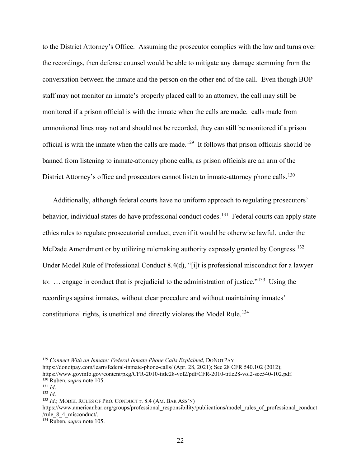to the District Attorney's Office. Assuming the prosecutor complies with the law and turns over the recordings, then defense counsel would be able to mitigate any damage stemming from the conversation between the inmate and the person on the other end of the call. Even though BOP staff may not monitor an inmate's properly placed call to an attorney, the call may still be monitored if a prison official is with the inmate when the calls are made. calls made from unmonitored lines may not and should not be recorded, they can still be monitored if a prison official is with the inmate when the calls are made.<sup>[129](#page-22-0)</sup> It follows that prison officials should be banned from listening to inmate-attorney phone calls, as prison officials are an arm of the District Attorney's office and prosecutors cannot listen to inmate-attorney phone calls.<sup>[130](#page-22-1)</sup>

Additionally, although federal courts have no uniform approach to regulating prosecutors' behavior, individual states do have professional conduct codes.<sup>131</sup> Federal courts can apply state ethics rules to regulate prosecutorial conduct, even if it would be otherwise lawful, under the McDade Amendment or by utilizing rulemaking authority expressly granted by Congress.<sup>[132](#page-22-3)</sup> Under Model Rule of Professional Conduct 8.4(d), "[i]t is professional misconduct for a lawyer to: ... engage in conduct that is prejudicial to the administration of justice."<sup>[133](#page-22-4)</sup> Using the recordings against inmates, without clear procedure and without maintaining inmates' constitutional rights, is unethical and directly violates the Model Rule.<sup>[134](#page-22-5)</sup>

<https://donotpay.com/learn/federal-inmate-phone-calls/> (Apr. 28, 2021); See 28 CFR 540.102 (2012); [https://www.govinfo.gov/content/pkg/CFR-2010-title28-vol2/pdf/CFR-2010-title28-vol2-sec540-102.pdf.](https://www.govinfo.gov/content/pkg/CFR-2010-title28-vol2/pdf/CFR-2010-title28-vol2-sec540-102.pdf) 130 Ruben, *supra* note 105.

[https://www.americanbar.org/groups/professional\\_responsibility/publications/model\\_rules\\_of\\_professional\\_conduct](https://www.americanbar.org/groups/professional_responsibility/publications/model_rules_of_professional_conduct/rule_8_4_misconduct/) [/rule\\_8\\_4\\_misconduct/.](https://www.americanbar.org/groups/professional_responsibility/publications/model_rules_of_professional_conduct/rule_8_4_misconduct/)

<span id="page-22-0"></span><sup>129</sup> *Connect With an Inmate: Federal Inmate Phone Calls Explained*, DONOTPAY

<span id="page-22-2"></span><span id="page-22-1"></span><sup>131</sup> *Id*.

<span id="page-22-3"></span><sup>132</sup> *Id*.

<span id="page-22-4"></span><sup>133</sup> *Id*.; MODEL RULES OF PRO. CONDUCT r. 8.4 (AM. BAR ASS'N)

<span id="page-22-5"></span><sup>134</sup> Ruben, *supra* note 105.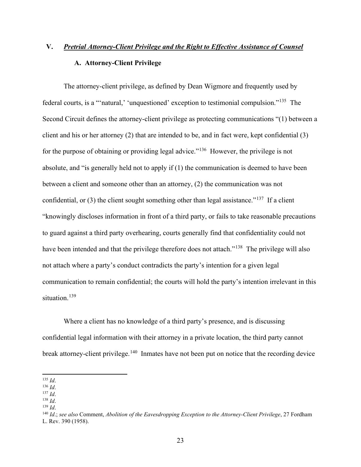# **V.** *Pretrial Attorney-Client Privilege and the Right to Effective Assistance of Counsel*  **A. Attorney-Client Privilege**

The attorney-client privilege, as defined by Dean Wigmore and frequently used by federal courts, is a "'natural,' 'unquestioned' exception to testimonial compulsion."[135](#page-23-0) The Second Circuit defines the attorney-client privilege as protecting communications "(1) between a client and his or her attorney  $(2)$  that are intended to be, and in fact were, kept confidential  $(3)$ for the purpose of obtaining or providing legal advice."[136](#page-23-1) However, the privilege is not absolute, and "is generally held not to apply if (1) the communication is deemed to have been between a client and someone other than an attorney, (2) the communication was not confidential, or  $(3)$  the client sought something other than legal assistance."<sup>[137](#page-23-2)</sup> If a client "knowingly discloses information in front of a third party, or fails to take reasonable precautions to guard against a third party overhearing, courts generally find that confidentiality could not have been intended and that the privilege therefore does not attach."<sup>138</sup> The privilege will also not attach where a party's conduct contradicts the party's intention for a given legal communication to remain confidential; the courts will hold the party's intention irrelevant in this situation.<sup>[139](#page-23-4)</sup>

Where a client has no knowledge of a third party's presence, and is discussing confidential legal information with their attorney in a private location, the third party cannot break attorney-client privilege.<sup>[140](#page-23-5)</sup> Inmates have not been put on notice that the recording device

<span id="page-23-0"></span>135 *Id*. 136 *Id*. 137 *Id*. 138 *Id*. 139 *Id*.

<span id="page-23-2"></span><span id="page-23-1"></span>

<span id="page-23-4"></span><span id="page-23-3"></span>

<span id="page-23-5"></span><sup>140</sup> *Id*.; *see also* Comment, *Abolition of the Eavesdropping Exception to the Attorney-Client Privilege*, 27 Fordham L. Rev. 390 (1958).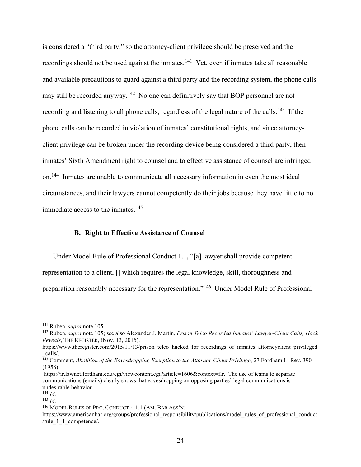is considered a "third party," so the attorney-client privilege should be preserved and the recordings should not be used against the inmates.<sup>[141](#page-24-0)</sup> Yet, even if inmates take all reasonable and available precautions to guard against a third party and the recording system, the phone calls may still be recorded anyway.<sup>[142](#page-24-1)</sup> No one can definitively say that BOP personnel are not recording and listening to all phone calls, regardless of the legal nature of the calls.<sup>[143](#page-24-2)</sup> If the phone calls can be recorded in violation of inmates' constitutional rights, and since attorneyclient privilege can be broken under the recording device being considered a third party, then inmates' Sixth Amendment right to counsel and to effective assistance of counsel are infringed on.[144](#page-24-3) Inmates are unable to communicate all necessary information in even the most ideal circumstances, and their lawyers cannot competently do their jobs because they have little to no immediate access to the inmates.<sup>[145](#page-24-4)</sup>

#### **B. Right to Effective Assistance of Counsel**

Under Model Rule of Professional Conduct 1.1, "[a] lawyer shall provide competent representation to a client, [] which requires the legal knowledge, skill, thoroughness and preparation reasonably necessary for the representation."[146](#page-24-5) Under Model Rule of Professional

<span id="page-24-5"></span><sup>146</sup> MODEL RULES OF PRO. CONDUCT r. 1.1 (AM. BAR ASS'N)

<span id="page-24-1"></span><span id="page-24-0"></span><sup>&</sup>lt;sup>141</sup> Ruben, *supra* note 105.<br><sup>142</sup> Ruben, *supra* note 105; see also Alexander J. Martin, *Prison Telco Recorded Inmates' Lawyer-Client Calls, Hack Reveals*, THE REGISTER, (Nov. 13, 2015),

https://www.theregister.com/2015/11/13/prison\_telco\_hacked\_for\_recordings\_of\_inmates\_attorneyclient\_privileged \_calls/.

<span id="page-24-2"></span><sup>&</sup>lt;sup>143</sup> Comment, *Abolition of the Eavesdropping Exception to the Attorney-Client Privilege*, 27 Fordham L. Rev. 390 (1958).

[https://ir.lawnet.fordham.edu/cgi/viewcontent.cgi?article=1606&context=flr.](https://ir.lawnet.fordham.edu/cgi/viewcontent.cgi?article=1606&context=flr) The use of teams to separate communications (emails) clearly shows that eavesdropping on opposing parties' legal communications is undesirable behavior.

<span id="page-24-3"></span> $\frac{144}{145}$  *Id*.

<span id="page-24-4"></span>

[https://www.americanbar.org/groups/professional\\_responsibility/publications/model\\_rules\\_of\\_professional\\_conduct](https://www.americanbar.org/groups/professional_responsibility/publications/model_rules_of_professional_conduct/rule_1_1_competence/) /rule 1 1 competence/.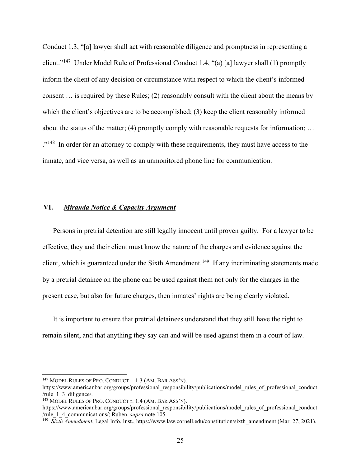Conduct 1.3, "[a] lawyer shall act with reasonable diligence and promptness in representing a client."[147](#page-25-0) Under Model Rule of Professional Conduct 1.4, "(a) [a] lawyer shall (1) promptly inform the client of any decision or circumstance with respect to which the client's informed consent … is required by these Rules; (2) reasonably consult with the client about the means by which the client's objectives are to be accomplished; (3) keep the client reasonably informed about the status of the matter; (4) promptly comply with reasonable requests for information; … ."<sup>[148](#page-25-1)</sup> In order for an attorney to comply with these requirements, they must have access to the inmate, and vice versa, as well as an unmonitored phone line for communication.

#### **VI.** *Miranda Notice & Capacity Argument*

Persons in pretrial detention are still legally innocent until proven guilty. For a lawyer to be effective, they and their client must know the nature of the charges and evidence against the client, which is guaranteed under the Sixth Amendment.<sup>149</sup> If any incriminating statements made by a pretrial detainee on the phone can be used against them not only for the charges in the present case, but also for future charges, then inmates' rights are being clearly violated.

It is important to ensure that pretrial detainees understand that they still have the right to remain silent, and that anything they say can and will be used against them in a court of law.

<span id="page-25-0"></span><sup>147</sup> MODEL RULES OF PRO. CONDUCT r. 1.3 (AM. BAR ASS'N).

[https://www.americanbar.org/groups/professional\\_responsibility/publications/model\\_rules\\_of\\_professional\\_conduct](https://www.americanbar.org/groups/professional_responsibility/publications/model_rules_of_professional_conduct/rule_1_3_diligence/)<br>/rule 1 3 diligence/.

<span id="page-25-1"></span><sup>&</sup>lt;sup>148</sup> MODEL RULES OF PRO. CONDUCT r.  $1.4$  (AM. BAR ASS'N).

[https://www.americanbar.org/groups/professional\\_responsibility/publications/model\\_rules\\_of\\_professional\\_conduct](https://www.americanbar.org/groups/professional_responsibility/publications/model_rules_of_professional_conduct/rule_1_4_communications/) /rule\_1\_4\_communications/; Ruben, *supra* note 105. 149 *Sixth Amendment*, Legal Info. Inst., [https://www.law.cornell.edu/constitution/sixth\\_amendment](https://www.law.cornell.edu/constitution/sixth_amendment) (Mar. 27, 2021).

<span id="page-25-2"></span>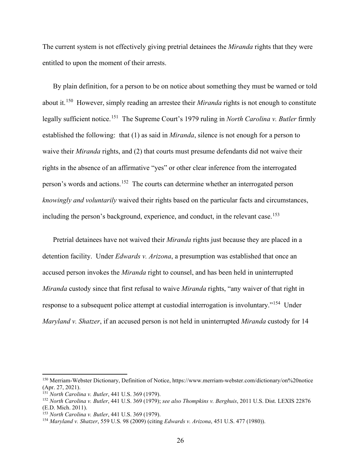The current system is not effectively giving pretrial detainees the *Miranda* rights that they were entitled to upon the moment of their arrests.

By plain definition, for a person to be on notice about something they must be warned or told about it.[150](#page-26-0) However, simply reading an arrestee their *Miranda* rights is not enough to constitute legally sufficient notice.[151](#page-26-1) The Supreme Court's 1979 ruling in *North Carolina v. Butler* firmly established the following: that (1) as said in *Miranda*, silence is not enough for a person to waive their *Miranda* rights, and (2) that courts must presume defendants did not waive their rights in the absence of an affirmative "yes" or other clear inference from the interrogated person's words and actions.[152](#page-26-2) The courts can determine whether an interrogated person *knowingly and voluntarily* waived their rights based on the particular facts and circumstances, including the person's background, experience, and conduct, in the relevant case.<sup>[153](#page-26-3)</sup>

Pretrial detainees have not waived their *Miranda* rights just because they are placed in a detention facility. Under *Edwards v. Arizona*, a presumption was established that once an accused person invokes the *Miranda* right to counsel, and has been held in uninterrupted *Miranda* custody since that first refusal to waive *Miranda* rights, "any waiver of that right in response to a subsequent police attempt at custodial interrogation is involuntary."[154](#page-26-4) Under *Maryland v. Shatzer*, if an accused person is not held in uninterrupted *Miranda* custody for 14

<span id="page-26-0"></span><sup>150</sup> Merriam-Webster Dictionary, Definition of Notice,<https://www.merriam-webster.com/dictionary/on%20notice> (Apr. 27, 2021).

<span id="page-26-1"></span><sup>151</sup> *North Carolina v. Butler*, 441 U.S. 369 (1979).

<span id="page-26-2"></span><sup>152</sup> *North Carolina v. Butler*, 441 U.S. 369 (1979); *see also Thompkins v. Berghuis*, 2011 U.S. Dist. LEXIS 22876 (E.D. Mich. 2011).<br><sup>153</sup> North Carolina v. Butler, 441 U.S. 369 (1979).

<span id="page-26-4"></span><span id="page-26-3"></span><sup>153</sup> *North Carolina v. Butler*, 441 U.S. 369 (1979). 154 *Maryland v. Shatzer*, 559 U.S. 98 (2009) (citing *Edwards v. Arizona*, 451 U.S. 477 (1980)).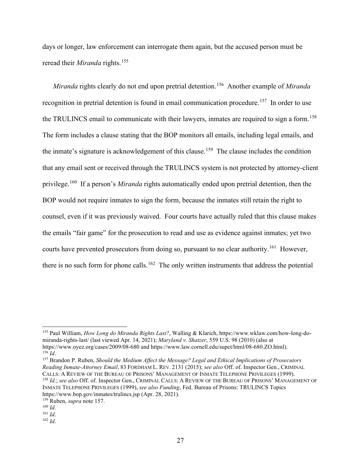days or longer, law enforcement can interrogate them again, but the accused person must be reread their *Miranda* rights.[155](#page-27-0)

*Miranda* rights clearly do not end upon pretrial detention.[156](#page-27-1) Another example of *Miranda*  recognition in pretrial detention is found in email communication procedure.<sup>157</sup> In order to use the TRULINCS email to communicate with their lawyers, inmates are required to sign a form.<sup>[158](#page-27-3)</sup> The form includes a clause stating that the BOP monitors all emails, including legal emails, and the inmate's signature is acknowledgement of this clause.<sup>[159](#page-27-4)</sup> The clause includes the condition that any email sent or received through the TRULINCS system is not protected by attorney-client privilege.[160](#page-27-5) If a person's *Miranda* rights automatically ended upon pretrial detention, then the BOP would not require inmates to sign the form, because the inmates still retain the right to counsel, even if it was previously waived. Four courts have actually ruled that this clause makes the emails "fair game" for the prosecution to read and use as evidence against inmates; yet two courts have prevented prosecutors from doing so, pursuant to no clear authority.<sup>[161](#page-27-6)</sup> However, there is no such form for phone calls.<sup>[162](#page-27-7)</sup> The only written instruments that address the potential

<span id="page-27-2"></span><span id="page-27-1"></span><sup>157</sup> Brandon P. Ruben, *Should the Medium Affect the Message? Legal and Ethical Implications of Prosecutors Reading Inmate-Attorney Email*, 83 FORDHAM L. REV. 2131 (2015); *see also* Off. of. Inspector Gen., CRIMINAL <sup>158</sup> Id.; see also Off. of. Inspector Gen., CRIMINAL CALLS: A REVIEW OF THE BUREAU OF PRISONS' MANAGEMENT OF INMATE TELEPHONE PRIVILEGES (1999), *see also Funding*, Fed. Bureau of Prisons: TRULINCS Topics

<span id="page-27-0"></span><sup>155</sup> Paul William, *How Long do Miranda Rights Last?*, Walling & Klarich, [https://www.wklaw.com/how-long-do](https://www.wklaw.com/how-long-do-miranda-rights-last/)[miranda-rights-last/](https://www.wklaw.com/how-long-do-miranda-rights-last/) (last viewed Apr. 14, 2021); *Maryland v. Shatzer*, 559 U.S. 98 (2010) (also at <https://www.oyez.org/cases/2009/08-680> and [https://www.law.cornell.edu/supct/html/08-680.ZO.html\)](https://www.law.cornell.edu/supct/html/08-680.ZO.html).  $^{156}$   $\bar{L}$ 

<span id="page-27-4"></span><span id="page-27-3"></span>https://www.bop.gov/inmates/trulincs.jsp [\(](https://www.bop.gov/inmates/trulincs.jsp)Apr. 28, 2021). 159 Ruben, *supra* note 157. 160 *Id*. 161 *Id*. 162 *Id*.

<span id="page-27-5"></span>

<span id="page-27-6"></span>

<span id="page-27-7"></span>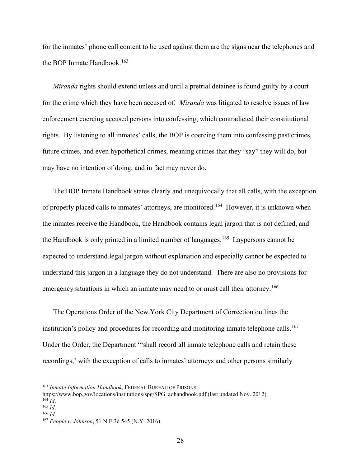for the inmates' phone call content to be used against them are the signs near the telephones and the BOP Inmate Handbook.<sup>[163](#page-28-0)</sup>

*Miranda* rights should extend unless and until a pretrial detainee is found guilty by a court for the crime which they have been accused of. *Miranda* was litigated to resolve issues of law enforcement coercing accused persons into confessing, which contradicted their constitutional rights. By listening to all inmates' calls, the BOP is coercing them into confessing past crimes, future crimes, and even hypothetical crimes, meaning crimes that they "say" they will do, but may have no intention of doing, and in fact may never do.

The BOP Inmate Handbook states clearly and unequivocally that all calls, with the exception of properly placed calls to inmates' attorneys, are monitored.<sup>[164](#page-28-1)</sup> However, it is unknown when the inmates receive the Handbook, the Handbook contains legal jargon that is not defined, and the Handbook is only printed in a limited number of languages.<sup>165</sup> Laypersons cannot be expected to understand legal jargon without explanation and especially cannot be expected to understand this jargon in a language they do not understand. There are also no provisions for emergency situations in which an inmate may need to or must call their attorney.<sup>166</sup>

The Operations Order of the New York City Department of Correction outlines the institution's policy and procedures for recording and monitoring inmate telephone calls.<sup>[167](#page-28-4)</sup> Under the Order, the Department "'shall record all inmate telephone calls and retain these recordings,' with the exception of calls to inmates' attorneys and other persons similarly

<span id="page-28-0"></span><sup>163</sup> *Inmate Information Handbook*, FEDERAL BUREAU OF PRISONS,

[https://www.bop.gov/locations/institutions/spg/SPG\\_aohandbook.pdf](https://www.bop.gov/locations/institutions/spg/SPG_aohandbook.pdf) (last updated Nov. 2012).  $^{164}$  *Id*.

<span id="page-28-2"></span><span id="page-28-1"></span><sup>165</sup> *Id*.

<span id="page-28-3"></span><sup>166</sup> *Id*.

<span id="page-28-4"></span><sup>167</sup> *People v. Johnson*, 51 N.E.3d 545 (N.Y. 2016).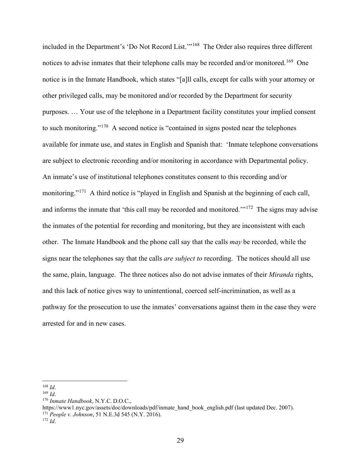included in the Department's 'Do Not Record List.'"[168](#page-29-0) The Order also requires three different notices to advise inmates that their telephone calls may be recorded and/or monitored.<sup>169</sup> One notice is in the Inmate Handbook, which states "[a]ll calls, except for calls with your attorney or other privileged calls, may be monitored and/or recorded by the Department for security purposes. … Your use of the telephone in a Department facility constitutes your implied consent to such monitoring."[170](#page-29-2) A second notice is "contained in signs posted near the telephones available for inmate use, and states in English and Spanish that: 'Inmate telephone conversations are subject to electronic recording and/or monitoring in accordance with Departmental policy. An inmate's use of institutional telephones constitutes consent to this recording and/or monitoring."<sup>[171](#page-29-3)</sup> A third notice is "played in English and Spanish at the beginning of each call, and informs the inmate that 'this call may be recorded and monitored.'"[172](#page-29-4) The signs may advise the inmates of the potential for recording and monitoring, but they are inconsistent with each other. The Inmate Handbook and the phone call say that the calls *may* be recorded, while the signs near the telephones say that the calls *are subject to* recording. The notices should all use the same, plain, language. The three notices also do not advise inmates of their *Miranda* rights, and this lack of notice gives way to unintentional, coerced self-incrimination, as well as a pathway for the prosecution to use the inmates' conversations against them in the case they were arrested for and in new cases.

<span id="page-29-0"></span><sup>168</sup> *Id*.

<span id="page-29-1"></span><sup>169</sup> *Id*.

<span id="page-29-2"></span><sup>170</sup> *Inmate Handbook*, N.Y.C. D.O.C.,

<span id="page-29-3"></span>[https://www1.nyc.gov/assets/doc/downloads/pdf/inmate\\_hand\\_book\\_english.pdf](https://www1.nyc.gov/assets/doc/downloads/pdf/inmate_hand_book_english.pdf) (last updated Dec. 2007). <sup>171</sup> *People v. Johnson*, 51 N.E.3d 545 (N.Y. 2016). 172 *Id*.

<span id="page-29-4"></span>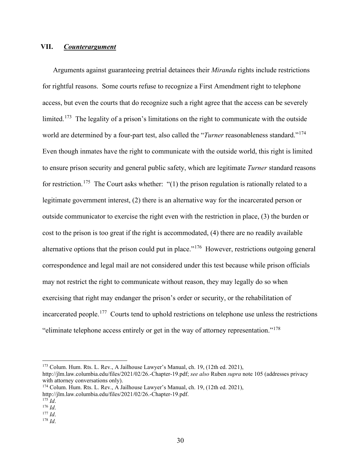### **VII.** *Counterargument*

Arguments against guaranteeing pretrial detainees their *Miranda* rights include restrictions for rightful reasons. Some courts refuse to recognize a First Amendment right to telephone access, but even the courts that do recognize such a right agree that the access can be severely limited.<sup>173</sup> The legality of a prison's limitations on the right to communicate with the outside world are determined by a four-part test, also called the "*Turner* reasonableness standard."[174](#page-30-1) Even though inmates have the right to communicate with the outside world, this right is limited to ensure prison security and general public safety, which are legitimate *Turner* standard reasons for restriction.<sup>[175](#page-30-2)</sup> The Court asks whether: "(1) the prison regulation is rationally related to a legitimate government interest, (2) there is an alternative way for the incarcerated person or outside communicator to exercise the right even with the restriction in place, (3) the burden or cost to the prison is too great if the right is accommodated, (4) there are no readily available alternative options that the prison could put in place."<sup>[176](#page-30-3)</sup> However, restrictions outgoing general correspondence and legal mail are not considered under this test because while prison officials may not restrict the right to communicate without reason, they may legally do so when exercising that right may endanger the prison's order or security, or the rehabilitation of incarcerated people.[177](#page-30-4) Courts tend to uphold restrictions on telephone use unless the restrictions "eliminate telephone access entirely or get in the way of attorney representation."[178](#page-30-5) 

<span id="page-30-0"></span><sup>173</sup> Colum. Hum. Rts. L. Rev., A Jailhouse Lawyer's Manual, ch. 19, (12th ed. 2021),

http://jlm.law.columbia.edu/files/2021/02/26.-Chapter-19.pdf; *see also* Ruben *supra* note 105 (addresses privacy with attorney conversations only).

<span id="page-30-1"></span><sup>174</sup> Colum. Hum. Rts. L. Rev., A Jailhouse Lawyer's Manual, ch. 19, (12th ed. 2021), http://jlm.law.columbia.edu/files/2021/02/26.-Chapter-19.pdf. 175 *Id*. 176 *Id*. 177 *Id*. 178 *Id*.

<span id="page-30-2"></span>

<span id="page-30-3"></span>

<span id="page-30-5"></span><span id="page-30-4"></span>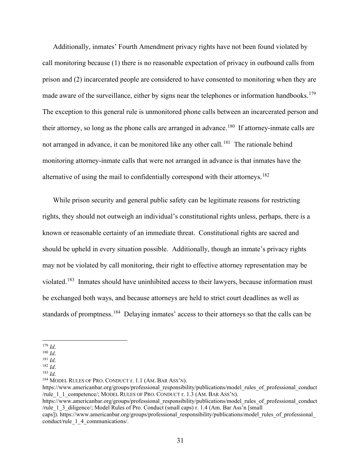Additionally, inmates' Fourth Amendment privacy rights have not been found violated by call monitoring because (1) there is no reasonable expectation of privacy in outbound calls from prison and (2) incarcerated people are considered to have consented to monitoring when they are made aware of the surveillance, either by signs near the telephones or information handbooks.<sup>[179](#page-31-0)</sup> The exception to this general rule is unmonitored phone calls between an incarcerated person and their attorney, so long as the phone calls are arranged in advance.<sup>[180](#page-31-1)</sup> If attorney-inmate calls are not arranged in advance, it can be monitored like any other call.<sup>181</sup> The rationale behind monitoring attorney-inmate calls that were not arranged in advance is that inmates have the alternative of using the mail to confidentially correspond with their attorneys.<sup>[182](#page-31-3)</sup>

While prison security and general public safety can be legitimate reasons for restricting rights, they should not outweigh an individual's constitutional rights unless, perhaps, there is a known or reasonable certainty of an immediate threat. Constitutional rights are sacred and should be upheld in every situation possible. Additionally, though an inmate's privacy rights may not be violated by call monitoring, their right to effective attorney representation may be violated.<sup>[183](#page-31-4)</sup> Inmates should have uninhibited access to their lawyers, because information must be exchanged both ways, and because attorneys are held to strict court deadlines as well as standards of promptness.<sup>[184](#page-31-5)</sup> Delaying inmates' access to their attorneys so that the calls can be

<span id="page-31-5"></span><sup>184</sup> MODEL RULES OF PRO. CONDUCT r. 1.1 (AM. BAR ASS'N).

[https://www.americanbar.org/groups/professional\\_responsibility/publications/model\\_rules\\_of\\_professional\\_conduct](https://www.americanbar.org/groups/professional_responsibility/publications/model_rules_of_professional_conduct/rule_1_1_competence/) [/rule\\_1\\_1\\_competence/;](https://www.americanbar.org/groups/professional_responsibility/publications/model_rules_of_professional_conduct/rule_1_1_competence/) MODEL RULES OF PRO. CONDUCT r. 1.3 (AM. BAR ASS'N).

<span id="page-31-0"></span><sup>179</sup> *Id*.

<span id="page-31-1"></span><sup>180</sup> *Id*.

<span id="page-31-2"></span><sup>181</sup> *Id*.

<sup>182</sup> *Id*.

<span id="page-31-4"></span><span id="page-31-3"></span><sup>183</sup> *Id*.

[https://www.americanbar.org/groups/professional\\_responsibility/publications/model\\_rules\\_of\\_professional\\_conduct](https://www.americanbar.org/groups/professional_responsibility/publications/model_rules_of_professional_conduct/rule_1_3_diligence/) [/rule\\_1\\_3\\_diligence/;](https://www.americanbar.org/groups/professional_responsibility/publications/model_rules_of_professional_conduct/rule_1_3_diligence/) Model Rules of Pro. Conduct (small caps) r. 1.4 (Am. Bar Ass'n [small

caps]). https://www.americanbar.org/groups/professional\_responsibility/publications/model\_rules\_of\_professional [conduct/rule\\_1\\_4\\_communications/.](https://www.americanbar.org/groups/professional_responsibility/publications/model_rules_of_professional_conduct/rule_1_4_communications/)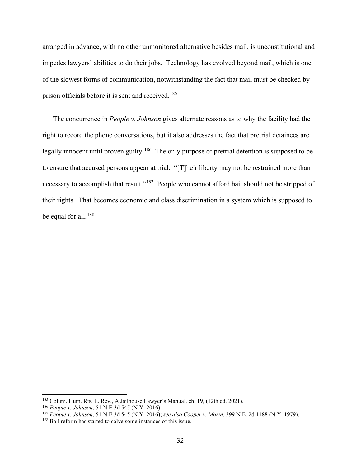arranged in advance, with no other unmonitored alternative besides mail, is unconstitutional and impedes lawyers' abilities to do their jobs. Technology has evolved beyond mail, which is one of the slowest forms of communication, notwithstanding the fact that mail must be checked by prison officials before it is sent and received.<sup>185</sup>

The concurrence in *People v. Johnson* gives alternate reasons as to why the facility had the right to record the phone conversations, but it also addresses the fact that pretrial detainees are legally innocent until proven guilty.<sup>[186](#page-32-1)</sup> The only purpose of pretrial detention is supposed to be to ensure that accused persons appear at trial. "[T]heir liberty may not be restrained more than necessary to accomplish that result."<sup>[187](#page-32-2)</sup> People who cannot afford bail should not be stripped of their rights. That becomes economic and class discrimination in a system which is supposed to be equal for all.<sup>[188](#page-32-3)</sup>

<span id="page-32-0"></span><sup>185</sup> Colum. Hum. Rts. L. Rev., A Jailhouse Lawyer's Manual, ch. 19, (12th ed. 2021). 186 *People v. Johnson*, 51 N.E.3d 545 (N.Y. 2016).

<span id="page-32-2"></span><span id="page-32-1"></span><sup>187</sup> *People v. Johnson*, 51 N.E.3d 545 (N.Y. 2016); *see also Cooper v. Morin*, 399 N.E. 2d 1188 (N.Y. 1979).

<span id="page-32-3"></span><sup>&</sup>lt;sup>188</sup> Bail reform has started to solve some instances of this issue.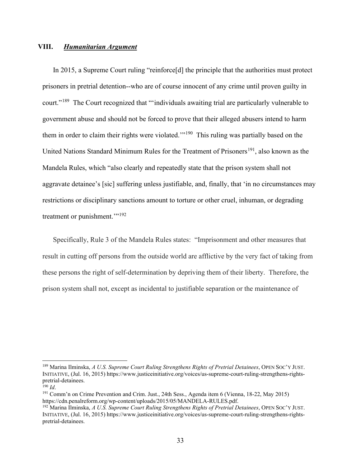### **VIII.** *Humanitarian Argument*

In 2015, a Supreme Court ruling "reinforce[d] the principle that the authorities must protect prisoners in pretrial detention--who are of course innocent of any crime until proven guilty in court."<sup>189</sup> The Court recognized that "'individuals awaiting trial are particularly vulnerable to government abuse and should not be forced to prove that their alleged abusers intend to harm them in order to claim their rights were violated."<sup>[190](#page-33-1)</sup> This ruling was partially based on the United Nations Standard Minimum Rules for the Treatment of Prisoners<sup>[191](#page-33-2)</sup>, also known as the Mandela Rules, which "also clearly and repeatedly state that the prison system shall not aggravate detainee's [sic] suffering unless justifiable, and, finally, that 'in no circumstances may restrictions or disciplinary sanctions amount to torture or other cruel, inhuman, or degrading treatment or punishment."<sup>[192](#page-33-3)</sup>

Specifically, Rule 3 of the Mandela Rules states: "Imprisonment and other measures that result in cutting off persons from the outside world are afflictive by the very fact of taking from these persons the right of self-determination by depriving them of their liberty. Therefore, the prison system shall not, except as incidental to justifiable separation or the maintenance of

<span id="page-33-0"></span><sup>189</sup> Marina Ilminska, *A U.S. Supreme Court Ruling Strengthens Rights of Pretrial Detainees*, OPEN SOC'Y JUST. INITIATIVE, (Jul. 16, 2015) [https://www.justiceinitiative.org/voices/us-supreme-court-ruling-strengthens-rights-](https://www.justiceinitiative.org/voices/us-supreme-court-ruling-strengthens-rights-pretrial-detainees)

<span id="page-33-2"></span><span id="page-33-1"></span><sup>&</sup>lt;sup>190</sup> *Id*.<br><sup>191</sup> Comm'n on Crime Prevention and Crim. Just., 24th Sess., Agenda item 6 (Vienna, 18-22, May 2015) [https://cdn.penalreform.org/wp-content/uploads/2015/05/MANDELA-RULES.pdf.](https://cdn.penalreform.org/wp-content/uploads/2015/05/MANDELA-RULES.pdf) 192 Marina Ilminska, *A U.S. Supreme Court Ruling Strengthens Rights of Pretrial Detainees*, OPEN SOC'Y JUST.

<span id="page-33-3"></span>INITIATIVE, (Jul. 16, 2015) [https://www.justiceinitiative.org/voices/us-supreme-court-ruling-strengthens-rights](https://www.justiceinitiative.org/voices/us-supreme-court-ruling-strengthens-rights-pretrial-detainees)[pretrial-detainees.](https://www.justiceinitiative.org/voices/us-supreme-court-ruling-strengthens-rights-pretrial-detainees)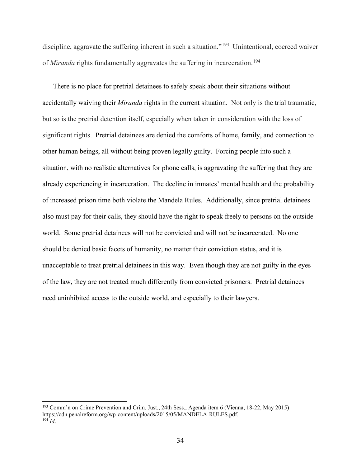discipline, aggravate the suffering inherent in such a situation."<sup>193</sup> Unintentional, coerced waiver of *Miranda* rights fundamentally aggravates the suffering in incarceration.<sup>[194](#page-34-1)</sup>

There is no place for pretrial detainees to safely speak about their situations without accidentally waiving their *Miranda* rights in the current situation. Not only is the trial traumatic, but so is the pretrial detention itself, especially when taken in consideration with the loss of significant rights. Pretrial detainees are denied the comforts of home, family, and connection to other human beings, all without being proven legally guilty. Forcing people into such a situation, with no realistic alternatives for phone calls, is aggravating the suffering that they are already experiencing in incarceration. The decline in inmates' mental health and the probability of increased prison time both violate the Mandela Rules. Additionally, since pretrial detainees also must pay for their calls, they should have the right to speak freely to persons on the outside world. Some pretrial detainees will not be convicted and will not be incarcerated. No one should be denied basic facets of humanity, no matter their conviction status, and it is unacceptable to treat pretrial detainees in this way. Even though they are not guilty in the eyes of the law, they are not treated much differently from convicted prisoners. Pretrial detainees need uninhibited access to the outside world, and especially to their lawyers.

<span id="page-34-1"></span><span id="page-34-0"></span><sup>193</sup> Comm'n on Crime Prevention and Crim. Just., 24th Sess., Agenda item 6 (Vienna, 18-22, May 2015) [https://cdn.penalreform.org/wp-content/uploads/2015/05/MANDELA-RULES.pdf.](https://cdn.penalreform.org/wp-content/uploads/2015/05/MANDELA-RULES.pdf) 194 *Id*.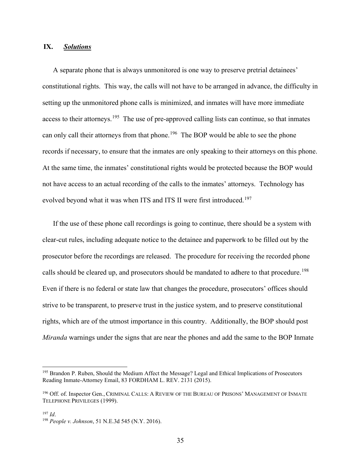## **IX.** *Solutions*

A separate phone that is always unmonitored is one way to preserve pretrial detainees' constitutional rights. This way, the calls will not have to be arranged in advance, the difficulty in setting up the unmonitored phone calls is minimized, and inmates will have more immediate access to their attorneys.<sup>195</sup> The use of pre-approved calling lists can continue, so that inmates can only call their attorneys from that phone.<sup>196</sup> The BOP would be able to see the phone records if necessary, to ensure that the inmates are only speaking to their attorneys on this phone. At the same time, the inmates' constitutional rights would be protected because the BOP would not have access to an actual recording of the calls to the inmates' attorneys. Technology has evolved beyond what it was when ITS and ITS II were first introduced.<sup>197</sup>

If the use of these phone call recordings is going to continue, there should be a system with clear-cut rules, including adequate notice to the detainee and paperwork to be filled out by the prosecutor before the recordings are released. The procedure for receiving the recorded phone calls should be cleared up, and prosecutors should be mandated to adhere to that procedure.<sup>198</sup> Even if there is no federal or state law that changes the procedure, prosecutors' offices should strive to be transparent, to preserve trust in the justice system, and to preserve constitutional rights, which are of the utmost importance in this country. Additionally, the BOP should post *Miranda* warnings under the signs that are near the phones and add the same to the BOP Inmate

<span id="page-35-0"></span><sup>&</sup>lt;sup>195</sup> Brandon P. Ruben, Should the Medium Affect the Message? Legal and Ethical Implications of Prosecutors Reading Inmate-Attorney Email, 83 FORDHAM L. REV. 2131 (2015).

<span id="page-35-1"></span><sup>196</sup> Off. of. Inspector Gen., CRIMINAL CALLS: A REVIEW OF THE BUREAU OF PRISONS' MANAGEMENT OF INMATE TELEPHONE PRIVILEGES (1999).

<span id="page-35-2"></span><sup>197</sup> *Id*.

<span id="page-35-3"></span><sup>198</sup> *People v. Johnson*, 51 N.E.3d 545 (N.Y. 2016).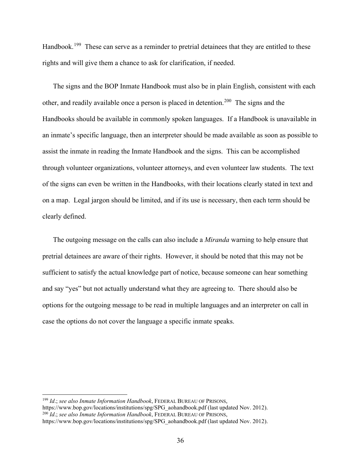Handbook.<sup>199</sup> These can serve as a reminder to pretrial detainees that they are entitled to these rights and will give them a chance to ask for clarification, if needed.

The signs and the BOP Inmate Handbook must also be in plain English, consistent with each other, and readily available once a person is placed in detention.<sup>200</sup> The signs and the Handbooks should be available in commonly spoken languages. If a Handbook is unavailable in an inmate's specific language, then an interpreter should be made available as soon as possible to assist the inmate in reading the Inmate Handbook and the signs. This can be accomplished through volunteer organizations, volunteer attorneys, and even volunteer law students. The text of the signs can even be written in the Handbooks, with their locations clearly stated in text and on a map. Legal jargon should be limited, and if its use is necessary, then each term should be clearly defined.

The outgoing message on the calls can also include a *Miranda* warning to help ensure that pretrial detainees are aware of their rights. However, it should be noted that this may not be sufficient to satisfy the actual knowledge part of notice, because someone can hear something and say "yes" but not actually understand what they are agreeing to. There should also be options for the outgoing message to be read in multiple languages and an interpreter on call in case the options do not cover the language a specific inmate speaks.

<span id="page-36-0"></span><sup>199</sup> *Id*.; *see also Inmate Information Handbook*, FEDERAL BUREAU OF PRISONS,

<span id="page-36-1"></span>https://www.bop.gov/locations/institutions/spg/SPG\_aohandbook.pdf (last updated Nov. 2012). 200 *Id*.; *see also Inmate Information Handbook*, FEDERAL BUREAU OF PRISONS,

[https://www.bop.gov/locations/institutions/spg/SPG\\_aohandbook.pdf](https://www.bop.gov/locations/institutions/spg/SPG_aohandbook.pdf) (last updated Nov. 2012).